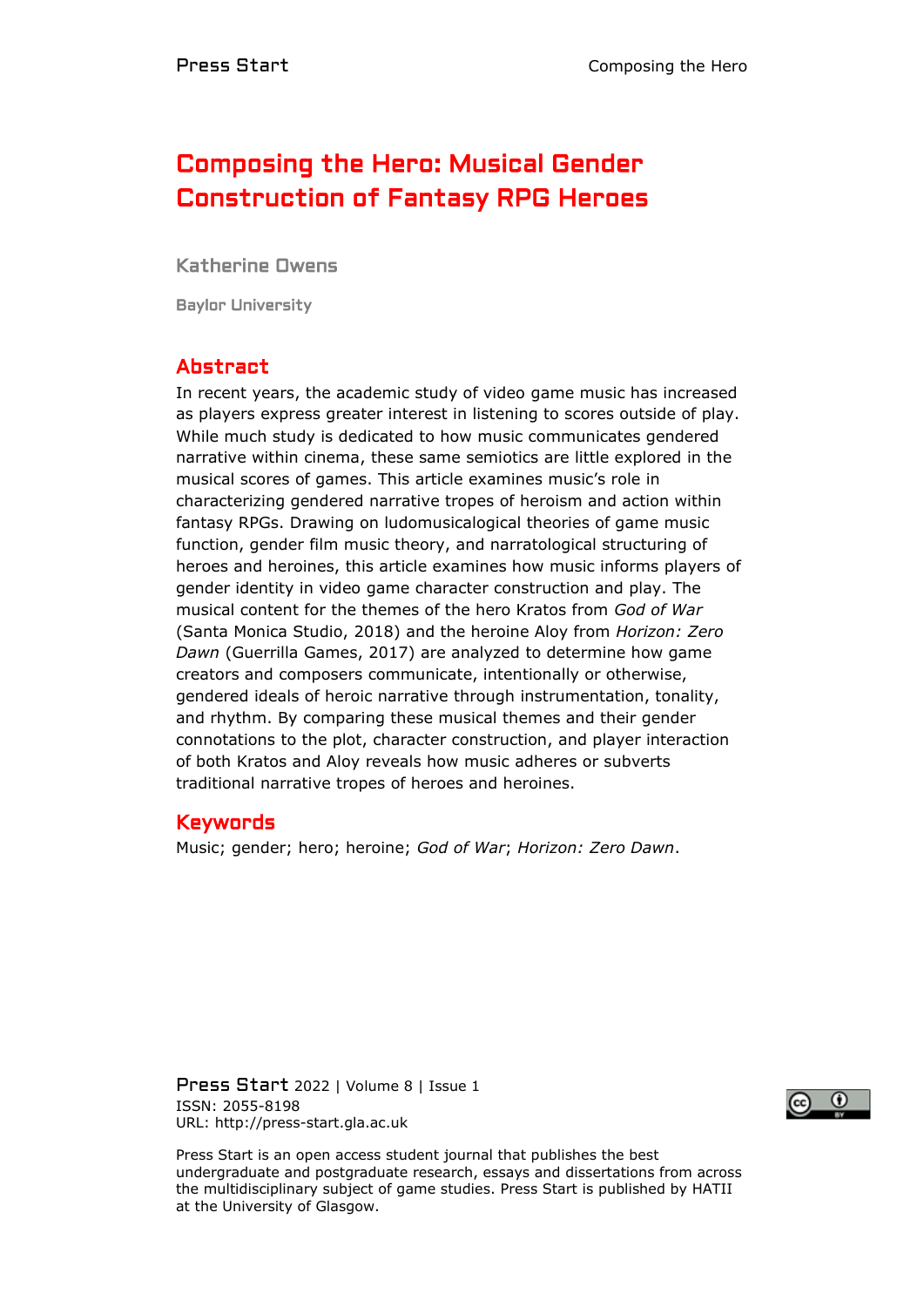# Composing the Hero: Musical Gender Construction of Fantasy RPG Heroes

Katherine Owens

Baylor University

# Abstract

In recent years, the academic study of video game music has increased as players express greater interest in listening to scores outside of play. While much study is dedicated to how music communicates gendered narrative within cinema, these same semiotics are little explored in the musical scores of games. This article examines music's role in characterizing gendered narrative tropes of heroism and action within fantasy RPGs. Drawing on ludomusicalogical theories of game music function, gender film music theory, and narratological structuring of heroes and heroines, this article examines how music informs players of gender identity in video game character construction and play. The musical content for the themes of the hero Kratos from *God of War* (Santa Monica Studio, 2018) and the heroine Aloy from *Horizon: Zero Dawn* (Guerrilla Games, 2017) are analyzed to determine how game creators and composers communicate, intentionally or otherwise, gendered ideals of heroic narrative through instrumentation, tonality, and rhythm. By comparing these musical themes and their gender connotations to the plot, character construction, and player interaction of both Kratos and Aloy reveals how music adheres or subverts traditional narrative tropes of heroes and heroines.

### Keywords

Music; gender; hero; heroine; *God of War*; *Horizon: Zero Dawn*.

Press Start 2022 | Volume 8 | Issue 1 ISSN: 2055-8198 URL: http://press-start.gla.ac.uk



Press Start is an open access student journal that publishes the best undergraduate and postgraduate research, essays and dissertations from across the multidisciplinary subject of game studies. Press Start is published by HATII at the University of Glasgow.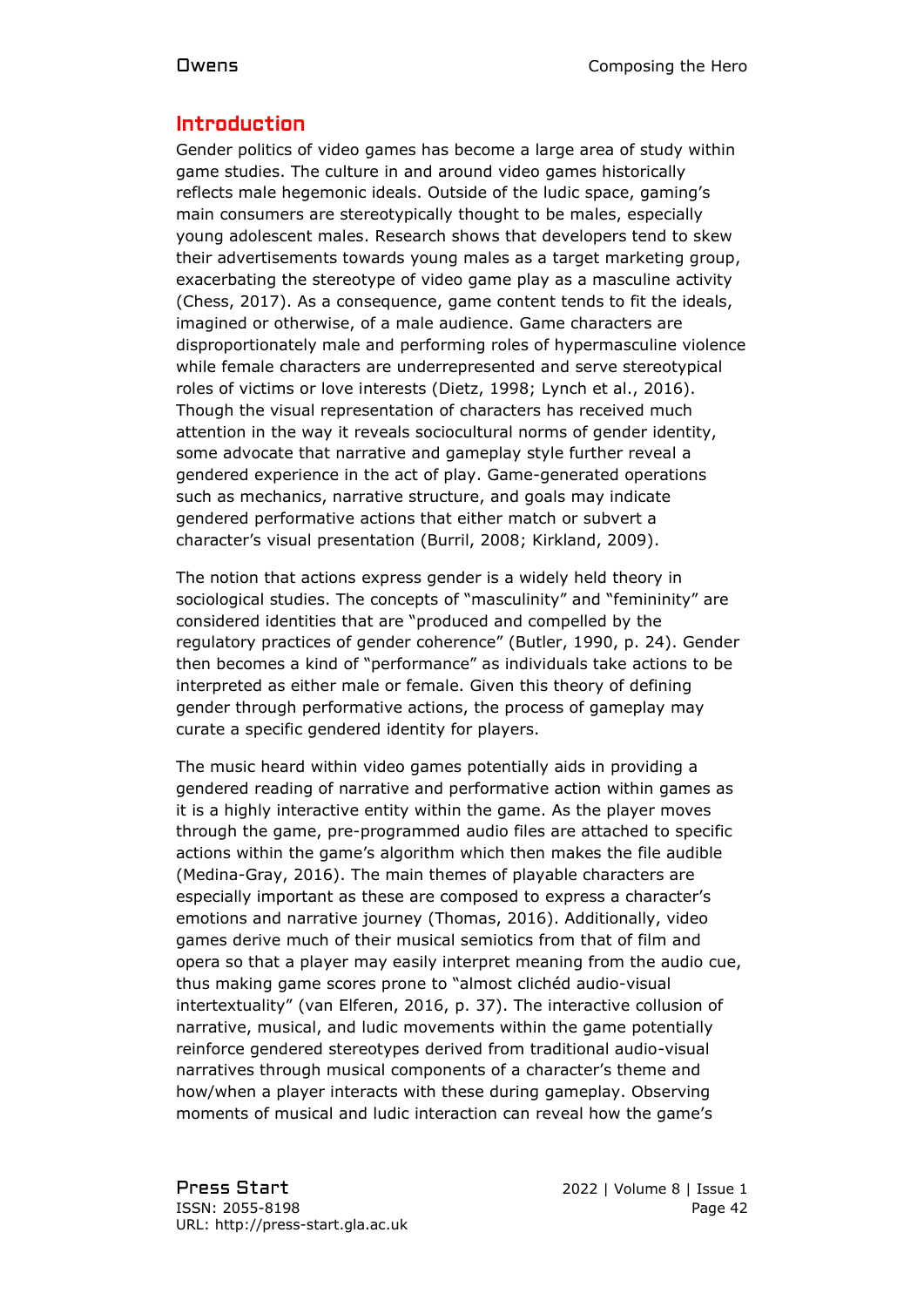# Introduction

Gender politics of video games has become a large area of study within game studies. The culture in and around video games historically reflects male hegemonic ideals. Outside of the ludic space, gaming's main consumers are stereotypically thought to be males, especially young adolescent males. Research shows that developers tend to skew their advertisements towards young males as a target marketing group, exacerbating the stereotype of video game play as a masculine activity (Chess, 2017). As a consequence, game content tends to fit the ideals, imagined or otherwise, of a male audience. Game characters are disproportionately male and performing roles of hypermasculine violence while female characters are underrepresented and serve stereotypical roles of victims or love interests (Dietz, 1998; Lynch et al., 2016). Though the visual representation of characters has received much attention in the way it reveals sociocultural norms of gender identity, some advocate that narrative and gameplay style further reveal a gendered experience in the act of play. Game-generated operations such as mechanics, narrative structure, and goals may indicate gendered performative actions that either match or subvert a character's visual presentation (Burril, 2008; Kirkland, 2009).

The notion that actions express gender is a widely held theory in sociological studies. The concepts of "masculinity" and "femininity" are considered identities that are "produced and compelled by the regulatory practices of gender coherence" (Butler, 1990, p. 24). Gender then becomes a kind of "performance" as individuals take actions to be interpreted as either male or female. Given this theory of defining gender through performative actions, the process of gameplay may curate a specific gendered identity for players.

The music heard within video games potentially aids in providing a gendered reading of narrative and performative action within games as it is a highly interactive entity within the game. As the player moves through the game, pre-programmed audio files are attached to specific actions within the game's algorithm which then makes the file audible (Medina-Gray, 2016). The main themes of playable characters are especially important as these are composed to express a character's emotions and narrative journey (Thomas, 2016). Additionally, video games derive much of their musical semiotics from that of film and opera so that a player may easily interpret meaning from the audio cue, thus making game scores prone to "almost clichéd audio-visual intertextuality" (van Elferen, 2016, p. 37). The interactive collusion of narrative, musical, and ludic movements within the game potentially reinforce gendered stereotypes derived from traditional audio-visual narratives through musical components of a character's theme and how/when a player interacts with these during gameplay. Observing moments of musical and ludic interaction can reveal how the game's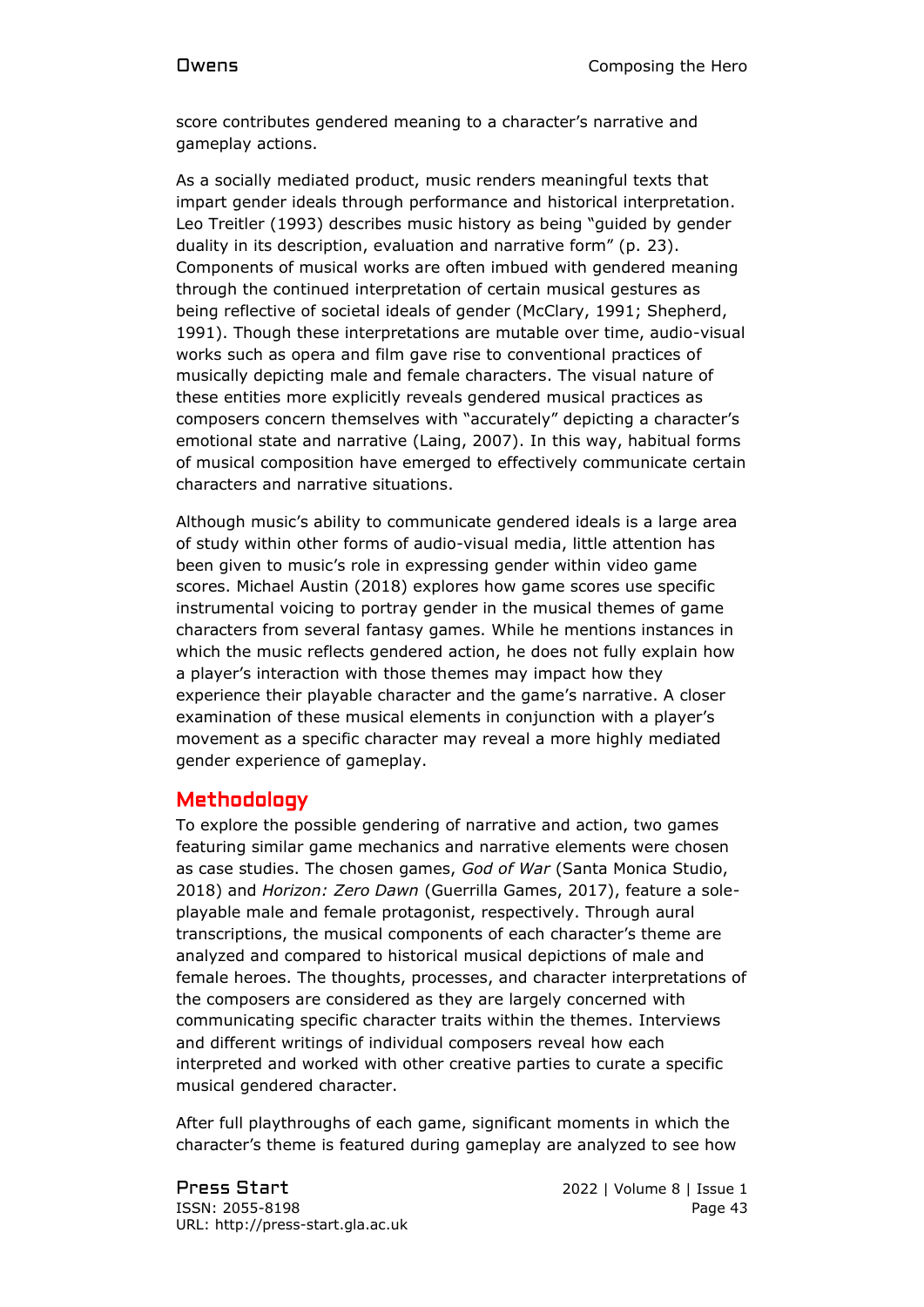score contributes gendered meaning to a character's narrative and gameplay actions.

As a socially mediated product, music renders meaningful texts that impart gender ideals through performance and historical interpretation. Leo Treitler (1993) describes music history as being "guided by gender duality in its description, evaluation and narrative form" (p. 23). Components of musical works are often imbued with gendered meaning through the continued interpretation of certain musical gestures as being reflective of societal ideals of gender (McClary, 1991; Shepherd, 1991). Though these interpretations are mutable over time, audio-visual works such as opera and film gave rise to conventional practices of musically depicting male and female characters. The visual nature of these entities more explicitly reveals gendered musical practices as composers concern themselves with "accurately" depicting a character's emotional state and narrative (Laing, 2007). In this way, habitual forms of musical composition have emerged to effectively communicate certain characters and narrative situations.

Although music's ability to communicate gendered ideals is a large area of study within other forms of audio-visual media, little attention has been given to music's role in expressing gender within video game scores. Michael Austin (2018) explores how game scores use specific instrumental voicing to portray gender in the musical themes of game characters from several fantasy games. While he mentions instances in which the music reflects gendered action, he does not fully explain how a player's interaction with those themes may impact how they experience their playable character and the game's narrative. A closer examination of these musical elements in conjunction with a player's movement as a specific character may reveal a more highly mediated gender experience of gameplay.

### Methodology

To explore the possible gendering of narrative and action, two games featuring similar game mechanics and narrative elements were chosen as case studies. The chosen games, *God of War* (Santa Monica Studio, 2018) and *Horizon: Zero Dawn* (Guerrilla Games, 2017), feature a soleplayable male and female protagonist, respectively. Through aural transcriptions, the musical components of each character's theme are analyzed and compared to historical musical depictions of male and female heroes. The thoughts, processes, and character interpretations of the composers are considered as they are largely concerned with communicating specific character traits within the themes. Interviews and different writings of individual composers reveal how each interpreted and worked with other creative parties to curate a specific musical gendered character.

After full playthroughs of each game, significant moments in which the character's theme is featured during gameplay are analyzed to see how

Press Start 2022 | Volume 8 | Issue 1 ISSN: 2055-8198 Page 43 URL: http://press-start.gla.ac.uk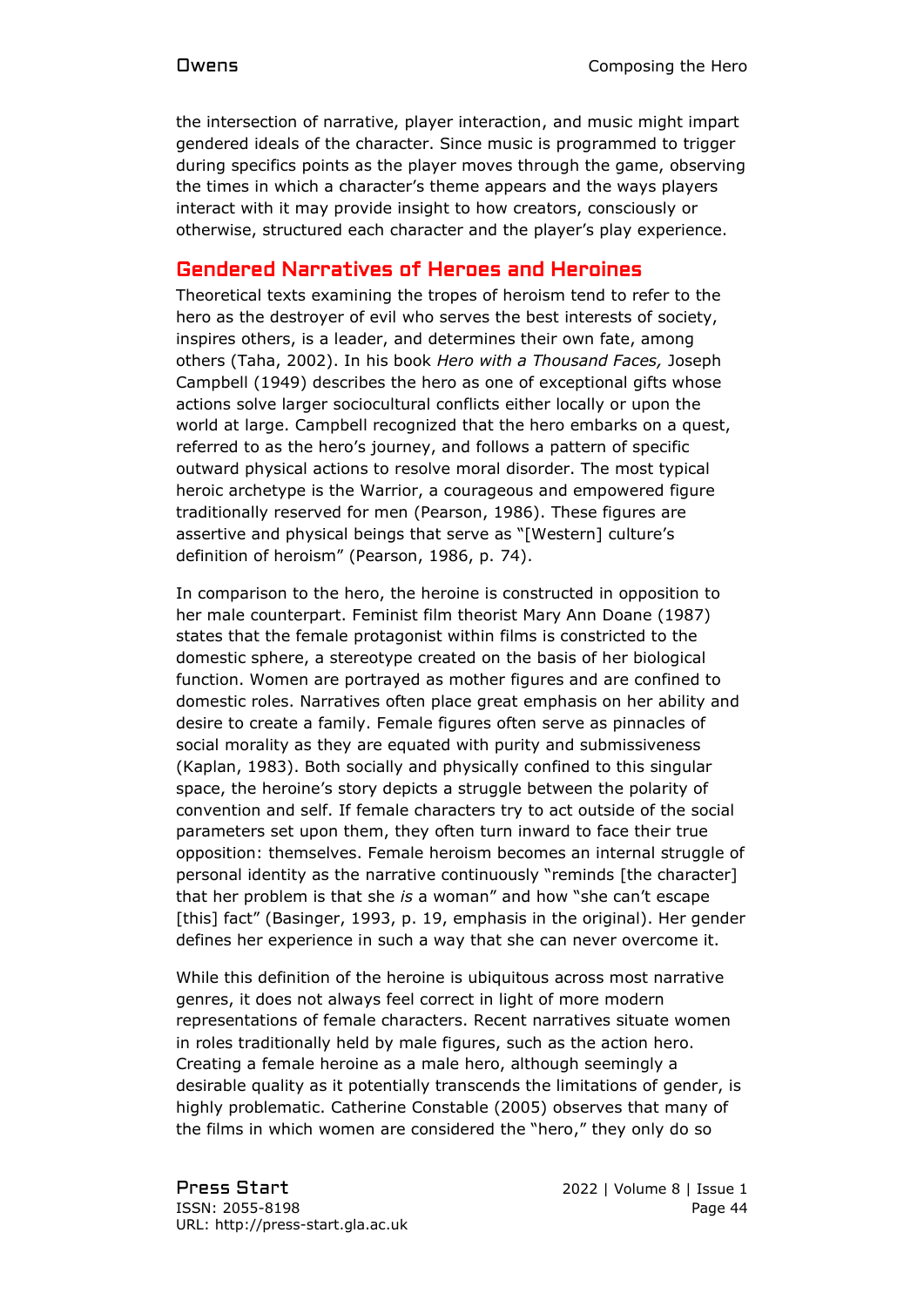the intersection of narrative, player interaction, and music might impart gendered ideals of the character. Since music is programmed to trigger during specifics points as the player moves through the game, observing the times in which a character's theme appears and the ways players interact with it may provide insight to how creators, consciously or otherwise, structured each character and the player's play experience.

# Gendered Narratives of Heroes and Heroines

Theoretical texts examining the tropes of heroism tend to refer to the hero as the destroyer of evil who serves the best interests of society, inspires others, is a leader, and determines their own fate, among others (Taha, 2002). In his book *Hero with a Thousand Faces,* Joseph Campbell (1949) describes the hero as one of exceptional gifts whose actions solve larger sociocultural conflicts either locally or upon the world at large. Campbell recognized that the hero embarks on a quest, referred to as the hero's journey, and follows a pattern of specific outward physical actions to resolve moral disorder. The most typical heroic archetype is the Warrior, a courageous and empowered figure traditionally reserved for men (Pearson, 1986). These figures are assertive and physical beings that serve as "[Western] culture's definition of heroism" (Pearson, 1986, p. 74).

In comparison to the hero, the heroine is constructed in opposition to her male counterpart. Feminist film theorist Mary Ann Doane (1987) states that the female protagonist within films is constricted to the domestic sphere, a stereotype created on the basis of her biological function. Women are portrayed as mother figures and are confined to domestic roles. Narratives often place great emphasis on her ability and desire to create a family. Female figures often serve as pinnacles of social morality as they are equated with purity and submissiveness (Kaplan, 1983). Both socially and physically confined to this singular space, the heroine's story depicts a struggle between the polarity of convention and self. If female characters try to act outside of the social parameters set upon them, they often turn inward to face their true opposition: themselves. Female heroism becomes an internal struggle of personal identity as the narrative continuously "reminds [the character] that her problem is that she *is* a woman" and how "she can't escape [this] fact" (Basinger, 1993, p. 19, emphasis in the original). Her gender defines her experience in such a way that she can never overcome it.

While this definition of the heroine is ubiquitous across most narrative genres, it does not always feel correct in light of more modern representations of female characters. Recent narratives situate women in roles traditionally held by male figures, such as the action hero. Creating a female heroine as a male hero, although seemingly a desirable quality as it potentially transcends the limitations of gender, is highly problematic. Catherine Constable (2005) observes that many of the films in which women are considered the "hero," they only do so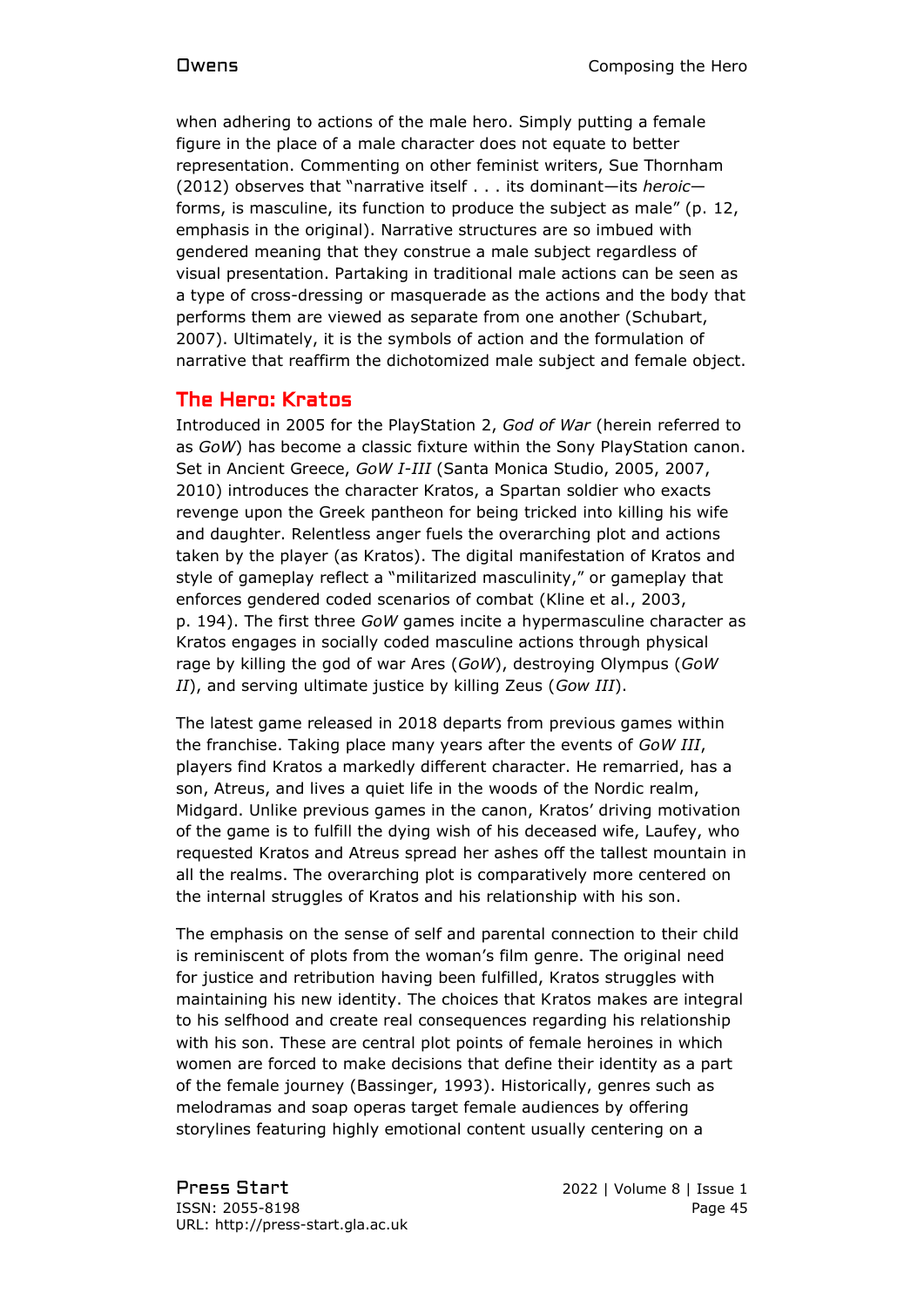when adhering to actions of the male hero. Simply putting a female figure in the place of a male character does not equate to better representation. Commenting on other feminist writers, Sue Thornham (2012) observes that "narrative itself . . . its dominant—its *heroic* forms, is masculine, its function to produce the subject as male" (p. 12, emphasis in the original). Narrative structures are so imbued with gendered meaning that they construe a male subject regardless of visual presentation. Partaking in traditional male actions can be seen as a type of cross-dressing or masquerade as the actions and the body that performs them are viewed as separate from one another (Schubart, 2007). Ultimately, it is the symbols of action and the formulation of narrative that reaffirm the dichotomized male subject and female object.

# The Hero: Kratos

Introduced in 2005 for the PlayStation 2, *God of War* (herein referred to as *GoW*) has become a classic fixture within the Sony PlayStation canon. Set in Ancient Greece, *GoW I-III* (Santa Monica Studio, 2005, 2007, 2010) introduces the character Kratos, a Spartan soldier who exacts revenge upon the Greek pantheon for being tricked into killing his wife and daughter. Relentless anger fuels the overarching plot and actions taken by the player (as Kratos). The digital manifestation of Kratos and style of gameplay reflect a "militarized masculinity," or gameplay that enforces gendered coded scenarios of combat (Kline et al., 2003, p. 194). The first three *GoW* games incite a hypermasculine character as Kratos engages in socially coded masculine actions through physical rage by killing the god of war Ares (*GoW*), destroying Olympus (*GoW II*), and serving ultimate justice by killing Zeus (*Gow III*).

The latest game released in 2018 departs from previous games within the franchise. Taking place many years after the events of *GoW III*, players find Kratos a markedly different character. He remarried, has a son, Atreus, and lives a quiet life in the woods of the Nordic realm, Midgard. Unlike previous games in the canon, Kratos' driving motivation of the game is to fulfill the dying wish of his deceased wife, Laufey, who requested Kratos and Atreus spread her ashes off the tallest mountain in all the realms. The overarching plot is comparatively more centered on the internal struggles of Kratos and his relationship with his son.

The emphasis on the sense of self and parental connection to their child is reminiscent of plots from the woman's film genre. The original need for justice and retribution having been fulfilled, Kratos struggles with maintaining his new identity. The choices that Kratos makes are integral to his selfhood and create real consequences regarding his relationship with his son. These are central plot points of female heroines in which women are forced to make decisions that define their identity as a part of the female journey (Bassinger, 1993). Historically, genres such as melodramas and soap operas target female audiences by offering storylines featuring highly emotional content usually centering on a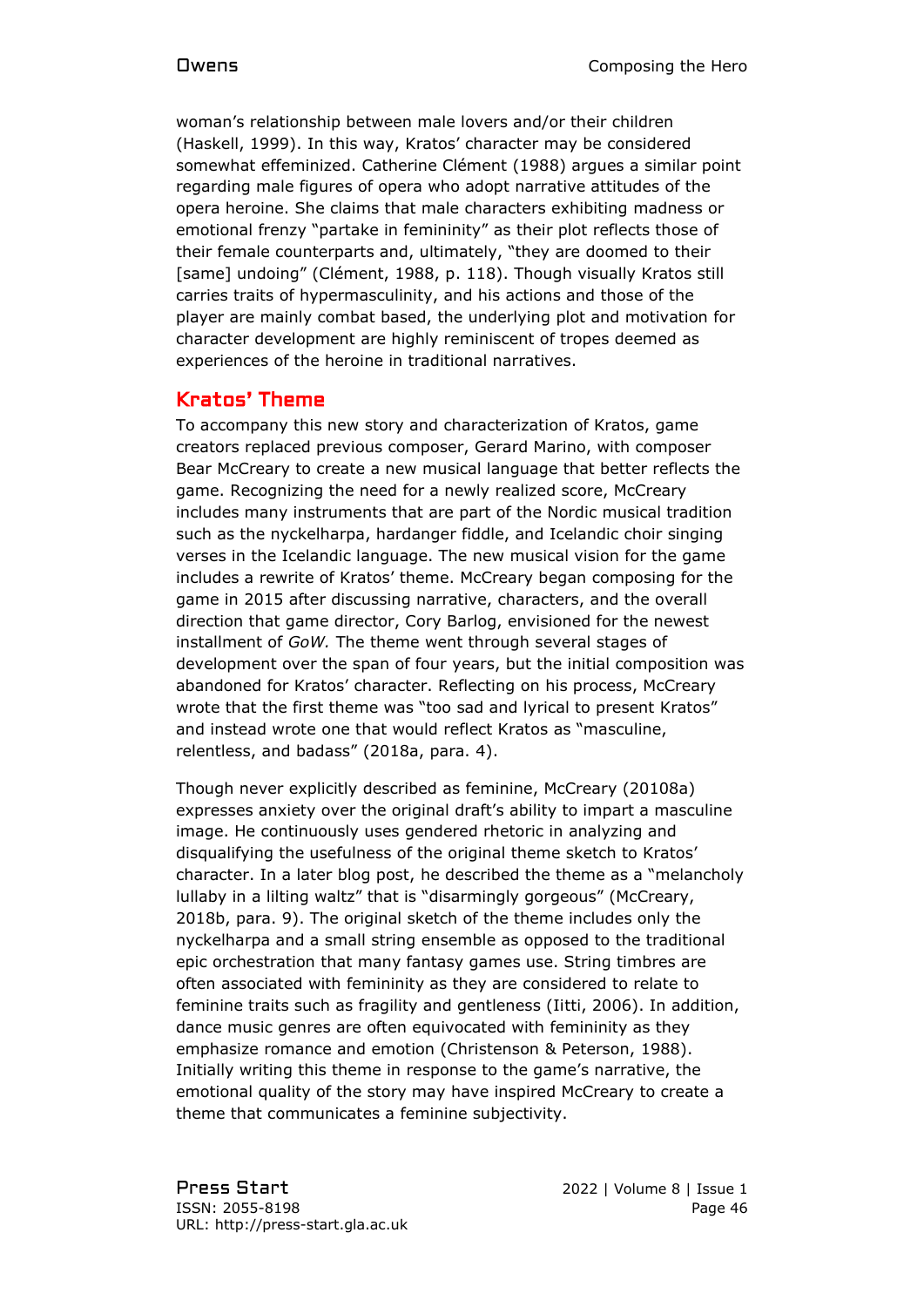woman's relationship between male lovers and/or their children (Haskell, 1999). In this way, Kratos' character may be considered somewhat effeminized. Catherine Clément (1988) argues a similar point regarding male figures of opera who adopt narrative attitudes of the opera heroine. She claims that male characters exhibiting madness or emotional frenzy "partake in femininity" as their plot reflects those of their female counterparts and, ultimately, "they are doomed to their [same] undoing" (Clément, 1988, p. 118). Though visually Kratos still carries traits of hypermasculinity, and his actions and those of the player are mainly combat based, the underlying plot and motivation for character development are highly reminiscent of tropes deemed as experiences of the heroine in traditional narratives.

# Kratos' Theme

To accompany this new story and characterization of Kratos, game creators replaced previous composer, Gerard Marino, with composer Bear McCreary to create a new musical language that better reflects the game. Recognizing the need for a newly realized score, McCreary includes many instruments that are part of the Nordic musical tradition such as the nyckelharpa, hardanger fiddle, and Icelandic choir singing verses in the Icelandic language. The new musical vision for the game includes a rewrite of Kratos' theme. McCreary began composing for the game in 2015 after discussing narrative, characters, and the overall direction that game director, Cory Barlog, envisioned for the newest installment of *GoW.* The theme went through several stages of development over the span of four years, but the initial composition was abandoned for Kratos' character. Reflecting on his process, McCreary wrote that the first theme was "too sad and lyrical to present Kratos" and instead wrote one that would reflect Kratos as "masculine, relentless, and badass" (2018a, para. 4).

Though never explicitly described as feminine, McCreary (20108a) expresses anxiety over the original draft's ability to impart a masculine image. He continuously uses gendered rhetoric in analyzing and disqualifying the usefulness of the original theme sketch to Kratos' character. In a later blog post, he described the theme as a "melancholy lullaby in a lilting waltz" that is "disarmingly gorgeous" (McCreary, 2018b, para. 9). The original sketch of the theme includes only the nyckelharpa and a small string ensemble as opposed to the traditional epic orchestration that many fantasy games use. String timbres are often associated with femininity as they are considered to relate to feminine traits such as fragility and gentleness (Iitti, 2006). In addition, dance music genres are often equivocated with femininity as they emphasize romance and emotion (Christenson & Peterson, 1988). Initially writing this theme in response to the game's narrative, the emotional quality of the story may have inspired McCreary to create a theme that communicates a feminine subjectivity.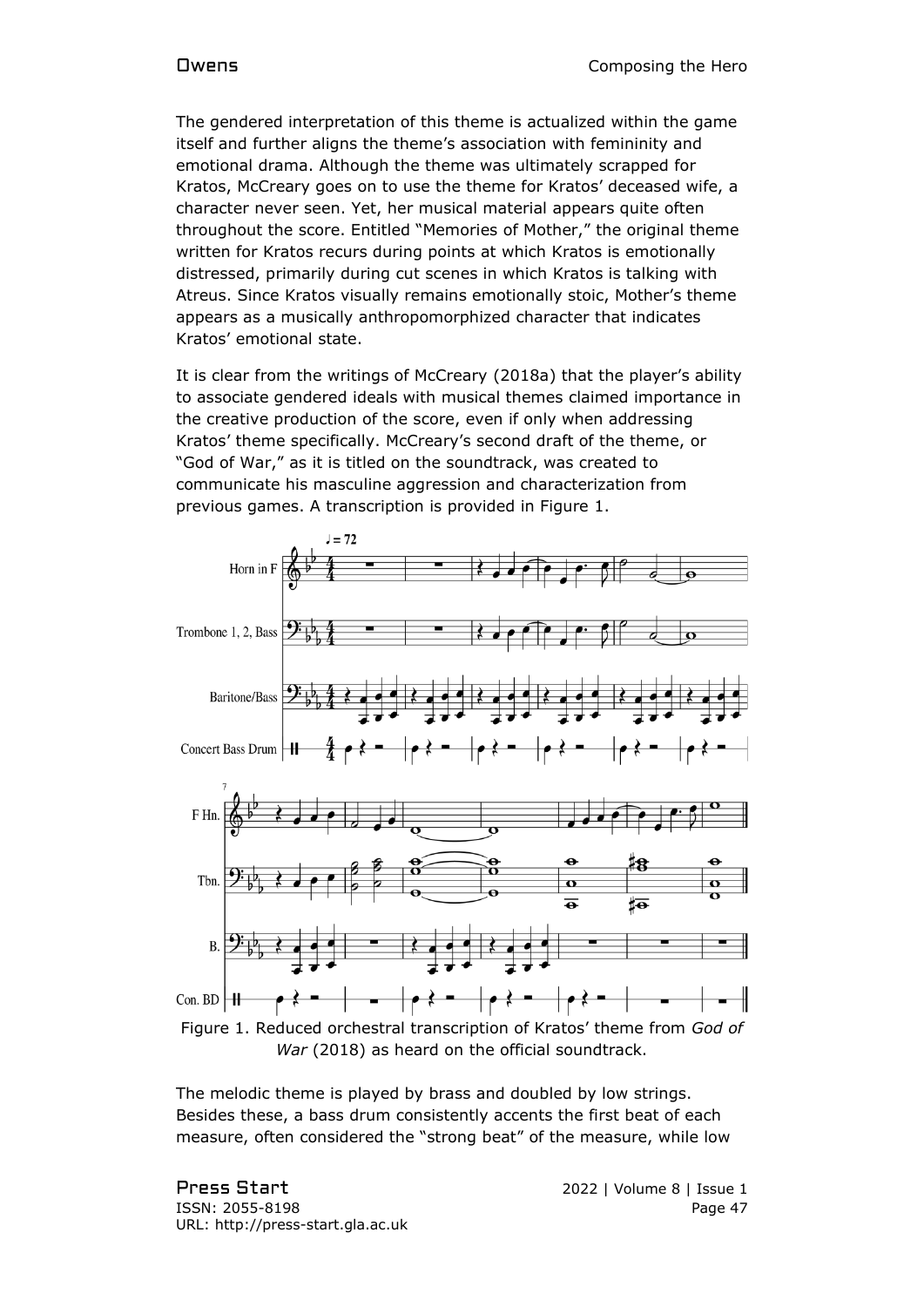The gendered interpretation of this theme is actualized within the game itself and further aligns the theme's association with femininity and emotional drama. Although the theme was ultimately scrapped for Kratos, McCreary goes on to use the theme for Kratos' deceased wife, a character never seen. Yet, her musical material appears quite often throughout the score. Entitled "Memories of Mother," the original theme written for Kratos recurs during points at which Kratos is emotionally distressed, primarily during cut scenes in which Kratos is talking with Atreus. Since Kratos visually remains emotionally stoic, Mother's theme appears as a musically anthropomorphized character that indicates Kratos' emotional state.

It is clear from the writings of McCreary (2018a) that the player's ability to associate gendered ideals with musical themes claimed importance in the creative production of the score, even if only when addressing Kratos' theme specifically. McCreary's second draft of the theme, or "God of War," as it is titled on the soundtrack, was created to communicate his masculine aggression and characterization from previous games. A transcription is provided in Figure 1.



The melodic theme is played by brass and doubled by low strings. Besides these, a bass drum consistently accents the first beat of each measure, often considered the "strong beat" of the measure, while low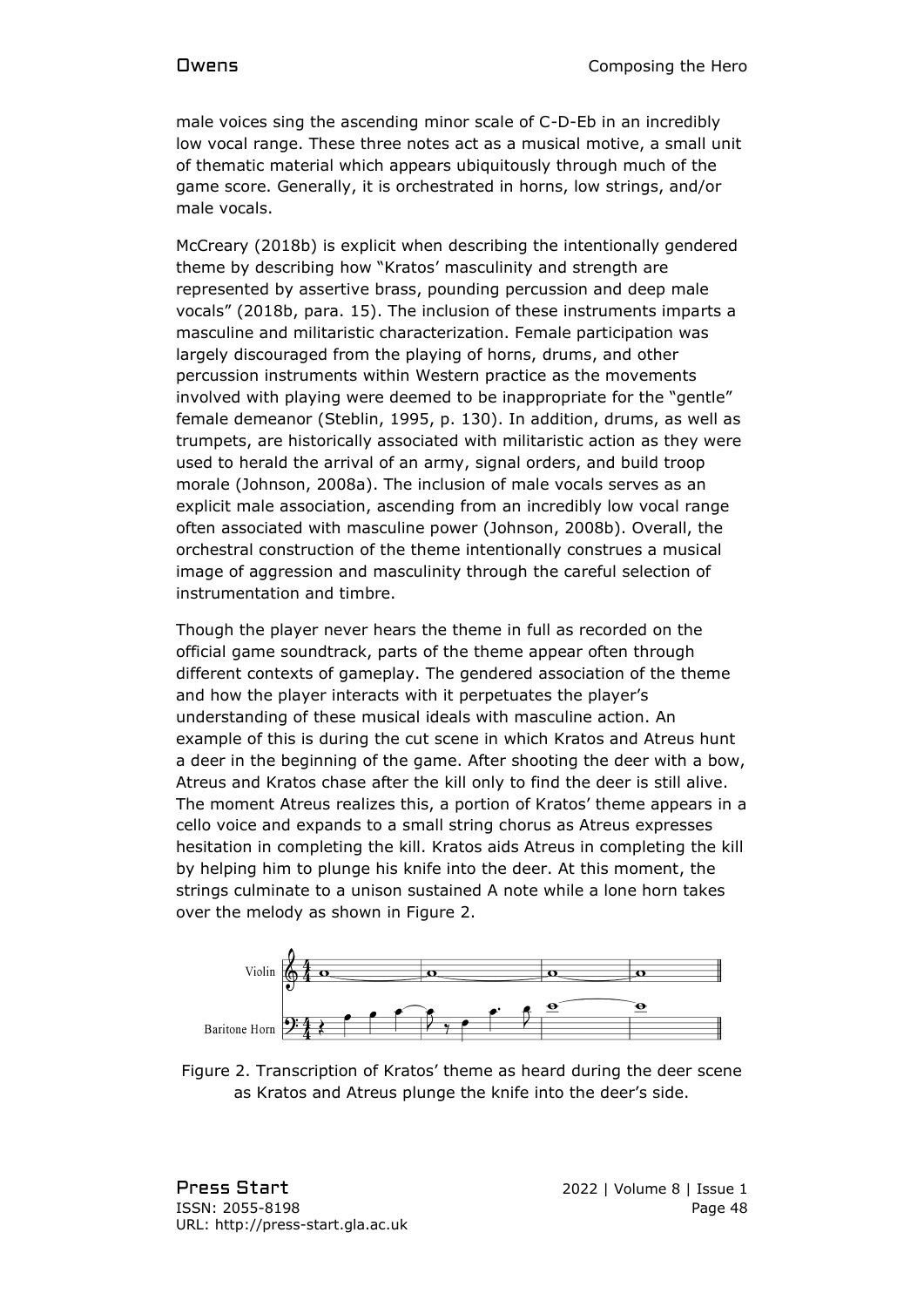male voices sing the ascending minor scale of C-D-Eb in an incredibly low vocal range. These three notes act as a musical motive, a small unit of thematic material which appears ubiquitously through much of the game score. Generally, it is orchestrated in horns, low strings, and/or male vocals.

McCreary (2018b) is explicit when describing the intentionally gendered theme by describing how "Kratos' masculinity and strength are represented by assertive brass, pounding percussion and deep male vocals" (2018b, para. 15). The inclusion of these instruments imparts a masculine and militaristic characterization. Female participation was largely discouraged from the playing of horns, drums, and other percussion instruments within Western practice as the movements involved with playing were deemed to be inappropriate for the "gentle" female demeanor (Steblin, 1995, p. 130). In addition, drums, as well as trumpets, are historically associated with militaristic action as they were used to herald the arrival of an army, signal orders, and build troop morale (Johnson, 2008a). The inclusion of male vocals serves as an explicit male association, ascending from an incredibly low vocal range often associated with masculine power (Johnson, 2008b). Overall, the orchestral construction of the theme intentionally construes a musical image of aggression and masculinity through the careful selection of instrumentation and timbre.

Though the player never hears the theme in full as recorded on the official game soundtrack, parts of the theme appear often through different contexts of gameplay. The gendered association of the theme and how the player interacts with it perpetuates the player's understanding of these musical ideals with masculine action. An example of this is during the cut scene in which Kratos and Atreus hunt a deer in the beginning of the game. After shooting the deer with a bow, Atreus and Kratos chase after the kill only to find the deer is still alive. The moment Atreus realizes this, a portion of Kratos' theme appears in a cello voice and expands to a small string chorus as Atreus expresses hesitation in completing the kill. Kratos aids Atreus in completing the kill by helping him to plunge his knife into the deer. At this moment, the strings culminate to a unison sustained A note while a lone horn takes over the melody as shown in Figure 2.



Figure 2. Transcription of Kratos' theme as heard during the deer scene as Kratos and Atreus plunge the knife into the deer's side.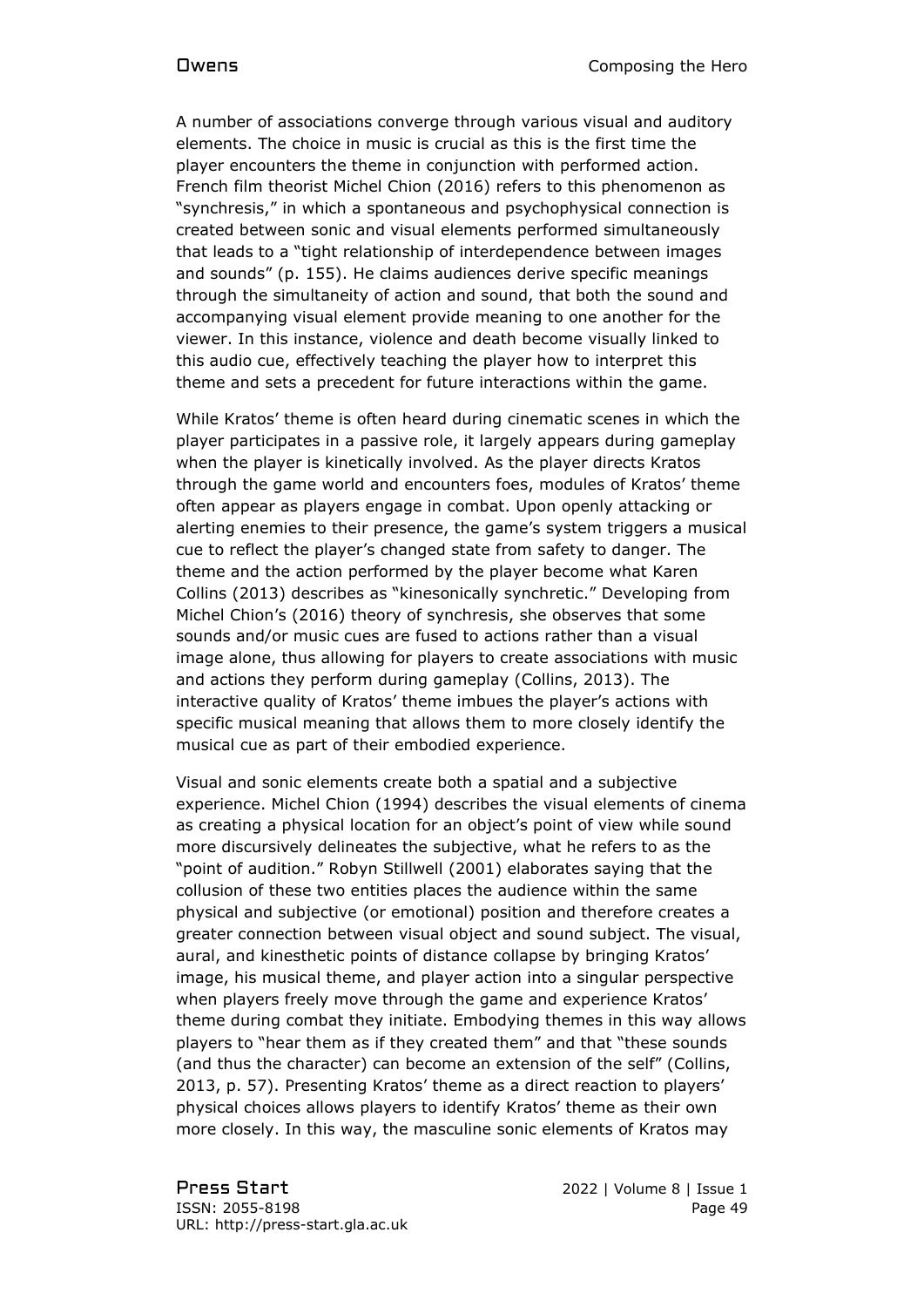A number of associations converge through various visual and auditory elements. The choice in music is crucial as this is the first time the player encounters the theme in conjunction with performed action. French film theorist Michel Chion (2016) refers to this phenomenon as "synchresis," in which a spontaneous and psychophysical connection is created between sonic and visual elements performed simultaneously that leads to a "tight relationship of interdependence between images and sounds" (p. 155). He claims audiences derive specific meanings through the simultaneity of action and sound, that both the sound and accompanying visual element provide meaning to one another for the viewer. In this instance, violence and death become visually linked to this audio cue, effectively teaching the player how to interpret this theme and sets a precedent for future interactions within the game.

While Kratos' theme is often heard during cinematic scenes in which the player participates in a passive role, it largely appears during gameplay when the player is kinetically involved. As the player directs Kratos through the game world and encounters foes, modules of Kratos' theme often appear as players engage in combat. Upon openly attacking or alerting enemies to their presence, the game's system triggers a musical cue to reflect the player's changed state from safety to danger. The theme and the action performed by the player become what Karen Collins (2013) describes as "kinesonically synchretic." Developing from Michel Chion's (2016) theory of synchresis, she observes that some sounds and/or music cues are fused to actions rather than a visual image alone, thus allowing for players to create associations with music and actions they perform during gameplay (Collins, 2013). The interactive quality of Kratos' theme imbues the player's actions with specific musical meaning that allows them to more closely identify the musical cue as part of their embodied experience.

Visual and sonic elements create both a spatial and a subjective experience. Michel Chion (1994) describes the visual elements of cinema as creating a physical location for an object's point of view while sound more discursively delineates the subjective, what he refers to as the "point of audition." Robyn Stillwell (2001) elaborates saying that the collusion of these two entities places the audience within the same physical and subjective (or emotional) position and therefore creates a greater connection between visual object and sound subject. The visual, aural, and kinesthetic points of distance collapse by bringing Kratos' image, his musical theme, and player action into a singular perspective when players freely move through the game and experience Kratos' theme during combat they initiate. Embodying themes in this way allows players to "hear them as if they created them" and that "these sounds (and thus the character) can become an extension of the self" (Collins, 2013, p. 57). Presenting Kratos' theme as a direct reaction to players' physical choices allows players to identify Kratos' theme as their own more closely. In this way, the masculine sonic elements of Kratos may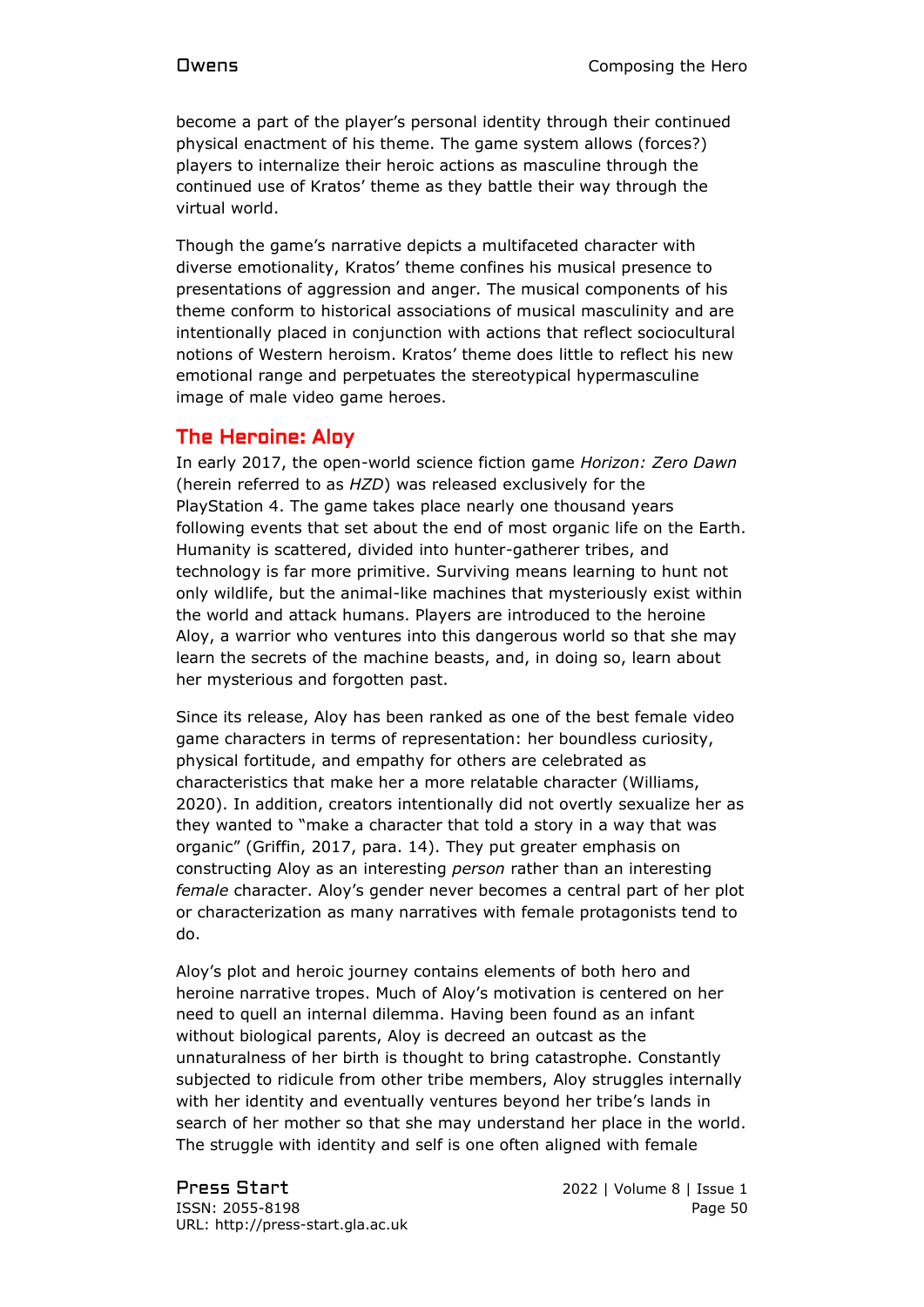become a part of the player's personal identity through their continued physical enactment of his theme. The game system allows (forces?) players to internalize their heroic actions as masculine through the continued use of Kratos' theme as they battle their way through the virtual world.

Though the game's narrative depicts a multifaceted character with diverse emotionality, Kratos' theme confines his musical presence to presentations of aggression and anger. The musical components of his theme conform to historical associations of musical masculinity and are intentionally placed in conjunction with actions that reflect sociocultural notions of Western heroism. Kratos' theme does little to reflect his new emotional range and perpetuates the stereotypical hypermasculine image of male video game heroes.

### The Heroine: Aloy

In early 2017, the open-world science fiction game *Horizon: Zero Dawn* (herein referred to as *HZD*) was released exclusively for the PlayStation 4. The game takes place nearly one thousand years following events that set about the end of most organic life on the Earth. Humanity is scattered, divided into hunter-gatherer tribes, and technology is far more primitive. Surviving means learning to hunt not only wildlife, but the animal-like machines that mysteriously exist within the world and attack humans. Players are introduced to the heroine Aloy, a warrior who ventures into this dangerous world so that she may learn the secrets of the machine beasts, and, in doing so, learn about her mysterious and forgotten past.

Since its release, Aloy has been ranked as one of the best female video game characters in terms of representation: her boundless curiosity, physical fortitude, and empathy for others are celebrated as characteristics that make her a more relatable character (Williams, 2020). In addition, creators intentionally did not overtly sexualize her as they wanted to "make a character that told a story in a way that was organic" (Griffin, 2017, para. 14). They put greater emphasis on constructing Aloy as an interesting *person* rather than an interesting *female* character. Aloy's gender never becomes a central part of her plot or characterization as many narratives with female protagonists tend to do.

Aloy's plot and heroic journey contains elements of both hero and heroine narrative tropes. Much of Aloy's motivation is centered on her need to quell an internal dilemma. Having been found as an infant without biological parents, Aloy is decreed an outcast as the unnaturalness of her birth is thought to bring catastrophe. Constantly subjected to ridicule from other tribe members, Aloy struggles internally with her identity and eventually ventures beyond her tribe's lands in search of her mother so that she may understand her place in the world. The struggle with identity and self is one often aligned with female

Press Start 2022 | Volume 8 | Issue 1 ISSN: 2055-8198 Page 50 URL: http://press-start.gla.ac.uk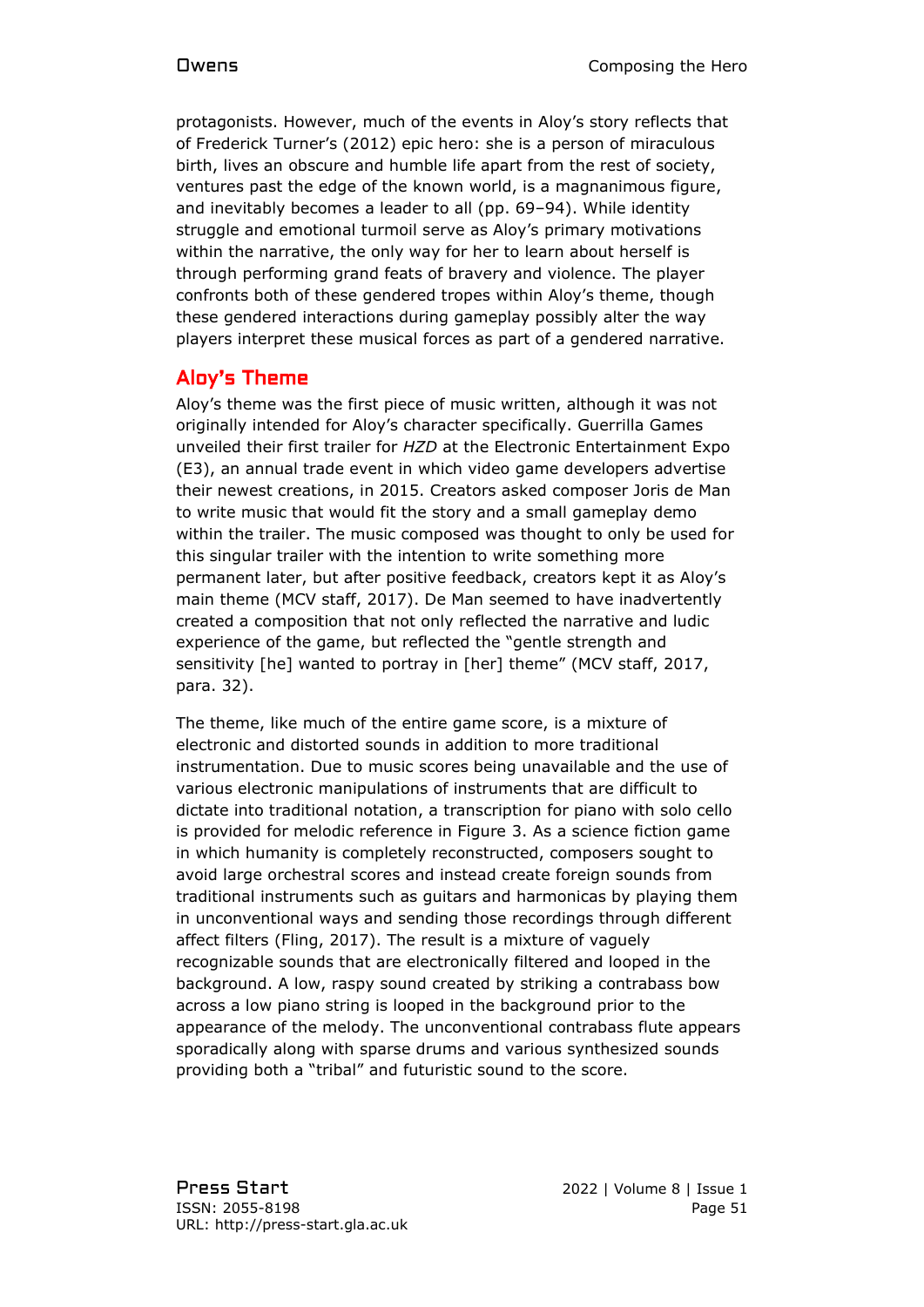protagonists. However, much of the events in Aloy's story reflects that of Frederick Turner's (2012) epic hero: she is a person of miraculous birth, lives an obscure and humble life apart from the rest of society, ventures past the edge of the known world, is a magnanimous figure, and inevitably becomes a leader to all (pp. 69–94). While identity struggle and emotional turmoil serve as Aloy's primary motivations within the narrative, the only way for her to learn about herself is through performing grand feats of bravery and violence. The player confronts both of these gendered tropes within Aloy's theme, though these gendered interactions during gameplay possibly alter the way players interpret these musical forces as part of a gendered narrative.

# Aloy's Theme

Aloy's theme was the first piece of music written, although it was not originally intended for Aloy's character specifically. Guerrilla Games unveiled their first trailer for *HZD* at the Electronic Entertainment Expo (E3), an annual trade event in which video game developers advertise their newest creations, in 2015. Creators asked composer Joris de Man to write music that would fit the story and a small gameplay demo within the trailer. The music composed was thought to only be used for this singular trailer with the intention to write something more permanent later, but after positive feedback, creators kept it as Aloy's main theme (MCV staff, 2017). De Man seemed to have inadvertently created a composition that not only reflected the narrative and ludic experience of the game, but reflected the "gentle strength and sensitivity [he] wanted to portray in [her] theme" (MCV staff, 2017, para. 32).

The theme, like much of the entire game score, is a mixture of electronic and distorted sounds in addition to more traditional instrumentation. Due to music scores being unavailable and the use of various electronic manipulations of instruments that are difficult to dictate into traditional notation, a transcription for piano with solo cello is provided for melodic reference in Figure 3. As a science fiction game in which humanity is completely reconstructed, composers sought to avoid large orchestral scores and instead create foreign sounds from traditional instruments such as guitars and harmonicas by playing them in unconventional ways and sending those recordings through different affect filters (Fling, 2017). The result is a mixture of vaguely recognizable sounds that are electronically filtered and looped in the background. A low, raspy sound created by striking a contrabass bow across a low piano string is looped in the background prior to the appearance of the melody. The unconventional contrabass flute appears sporadically along with sparse drums and various synthesized sounds providing both a "tribal" and futuristic sound to the score.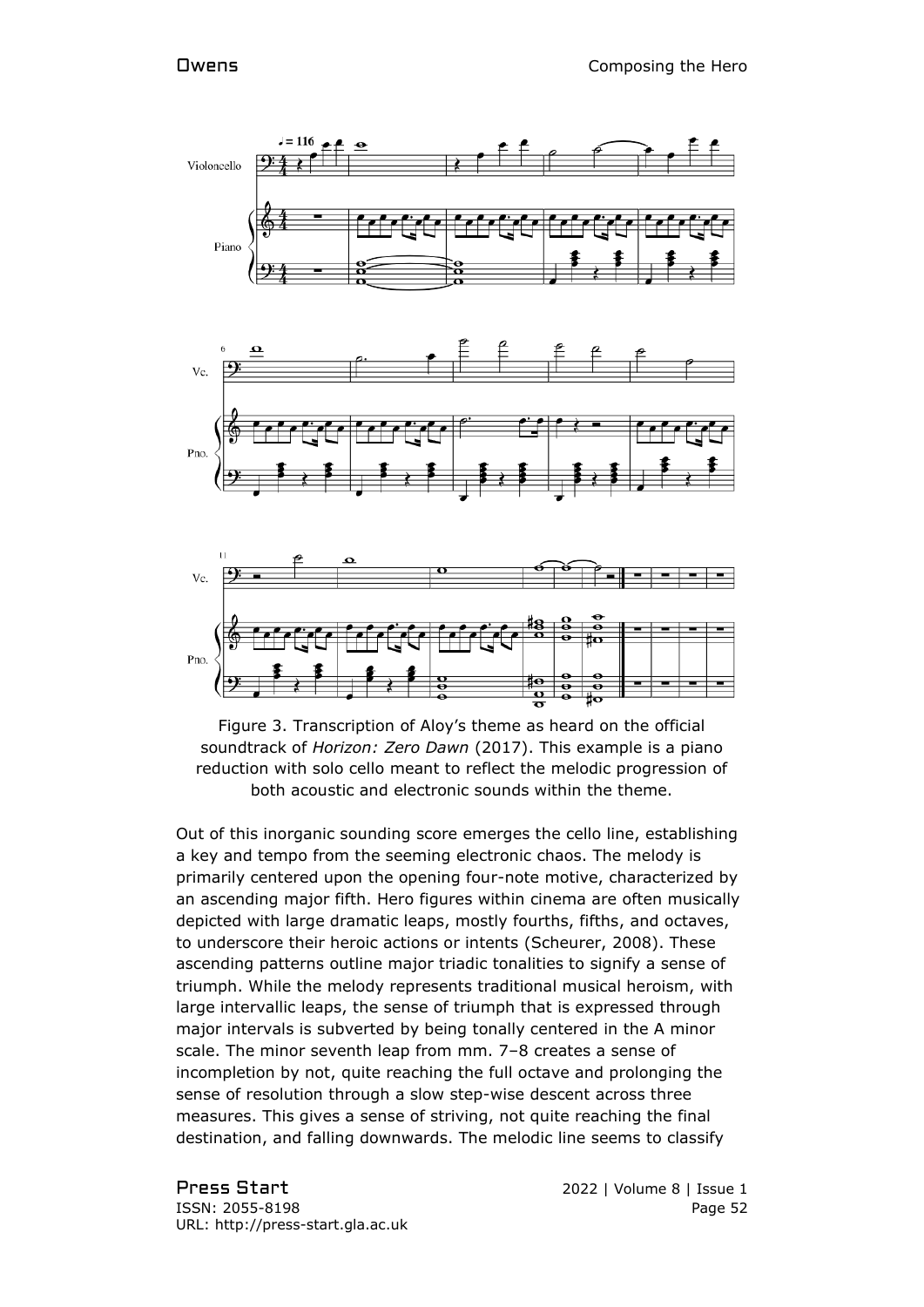



Out of this inorganic sounding score emerges the cello line, establishing a key and tempo from the seeming electronic chaos. The melody is primarily centered upon the opening four-note motive, characterized by an ascending major fifth. Hero figures within cinema are often musically depicted with large dramatic leaps, mostly fourths, fifths, and octaves, to underscore their heroic actions or intents (Scheurer, 2008). These ascending patterns outline major triadic tonalities to signify a sense of triumph. While the melody represents traditional musical heroism, with large intervallic leaps, the sense of triumph that is expressed through major intervals is subverted by being tonally centered in the A minor scale. The minor seventh leap from mm. 7–8 creates a sense of incompletion by not, quite reaching the full octave and prolonging the sense of resolution through a slow step-wise descent across three measures. This gives a sense of striving, not quite reaching the final destination, and falling downwards. The melodic line seems to classify

Press Start 2022 | Volume 8 | Issue 1 ISSN: 2055-8198 Page 52 URL: http://press-start.gla.ac.uk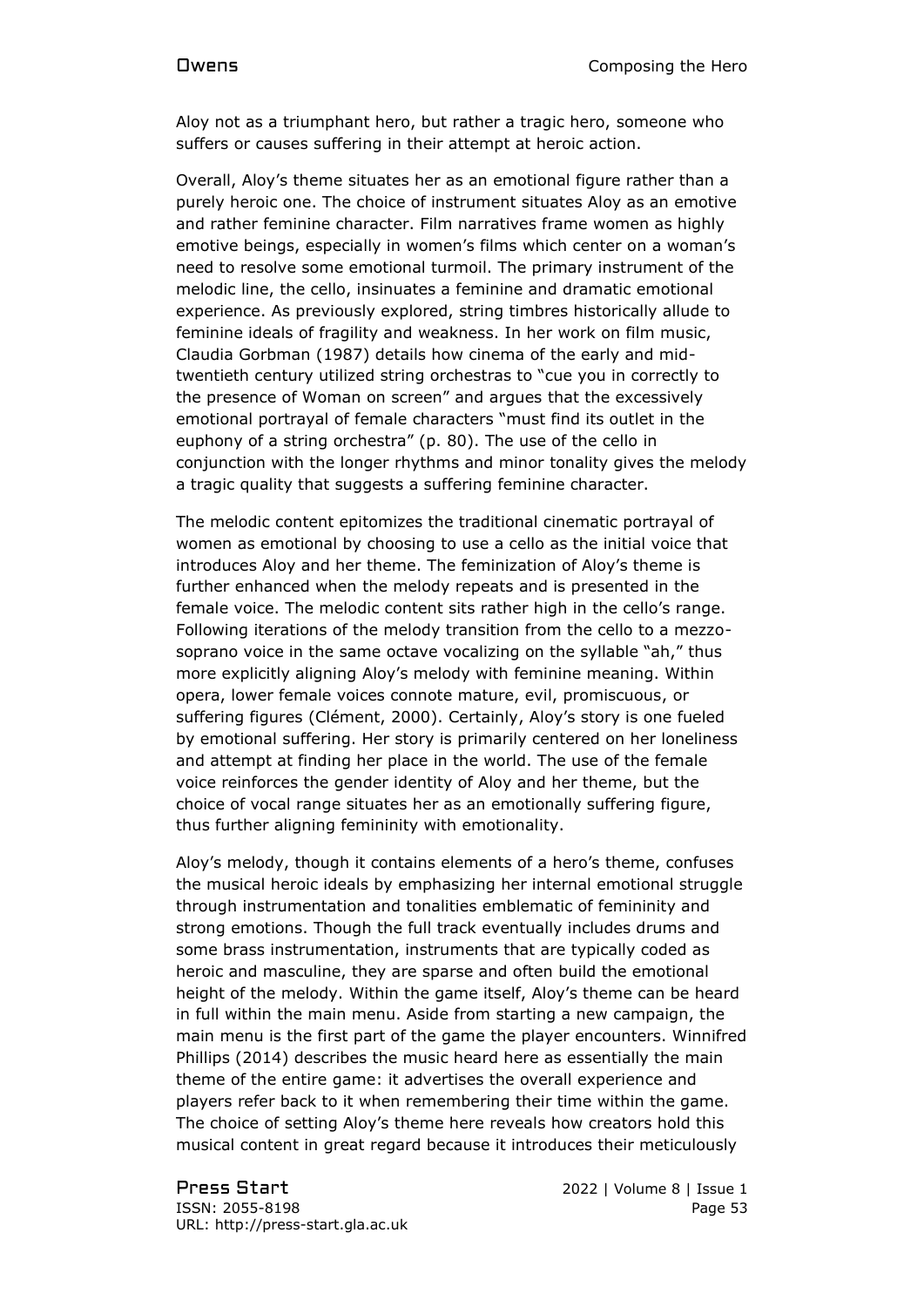Aloy not as a triumphant hero, but rather a tragic hero, someone who suffers or causes suffering in their attempt at heroic action.

Overall, Aloy's theme situates her as an emotional figure rather than a purely heroic one. The choice of instrument situates Aloy as an emotive and rather feminine character. Film narratives frame women as highly emotive beings, especially in women's films which center on a woman's need to resolve some emotional turmoil. The primary instrument of the melodic line, the cello, insinuates a feminine and dramatic emotional experience. As previously explored, string timbres historically allude to feminine ideals of fragility and weakness. In her work on film music, Claudia Gorbman (1987) details how cinema of the early and midtwentieth century utilized string orchestras to "cue you in correctly to the presence of Woman on screen" and argues that the excessively emotional portrayal of female characters "must find its outlet in the euphony of a string orchestra" (p. 80). The use of the cello in conjunction with the longer rhythms and minor tonality gives the melody a tragic quality that suggests a suffering feminine character.

The melodic content epitomizes the traditional cinematic portrayal of women as emotional by choosing to use a cello as the initial voice that introduces Aloy and her theme. The feminization of Aloy's theme is further enhanced when the melody repeats and is presented in the female voice. The melodic content sits rather high in the cello's range. Following iterations of the melody transition from the cello to a mezzosoprano voice in the same octave vocalizing on the syllable "ah," thus more explicitly aligning Aloy's melody with feminine meaning. Within opera, lower female voices connote mature, evil, promiscuous, or suffering figures (Clément, 2000). Certainly, Aloy's story is one fueled by emotional suffering. Her story is primarily centered on her loneliness and attempt at finding her place in the world. The use of the female voice reinforces the gender identity of Aloy and her theme, but the choice of vocal range situates her as an emotionally suffering figure, thus further aligning femininity with emotionality.

Aloy's melody, though it contains elements of a hero's theme, confuses the musical heroic ideals by emphasizing her internal emotional struggle through instrumentation and tonalities emblematic of femininity and strong emotions. Though the full track eventually includes drums and some brass instrumentation, instruments that are typically coded as heroic and masculine, they are sparse and often build the emotional height of the melody. Within the game itself, Aloy's theme can be heard in full within the main menu. Aside from starting a new campaign, the main menu is the first part of the game the player encounters. Winnifred Phillips (2014) describes the music heard here as essentially the main theme of the entire game: it advertises the overall experience and players refer back to it when remembering their time within the game. The choice of setting Aloy's theme here reveals how creators hold this musical content in great regard because it introduces their meticulously

Press Start 2022 | Volume 8 | Issue 1 ISSN: 2055-8198 Page 53 URL: http://press-start.gla.ac.uk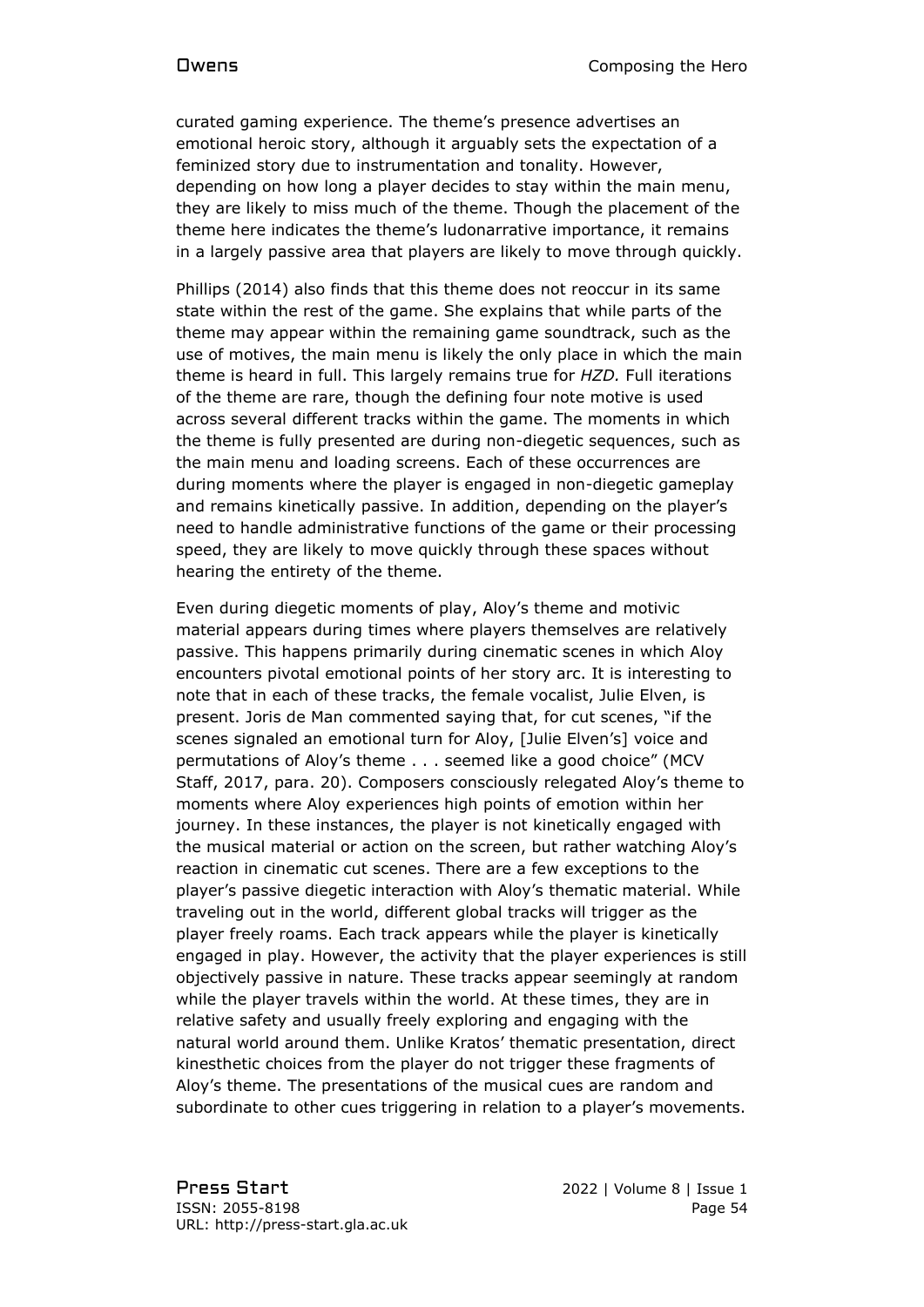curated gaming experience. The theme's presence advertises an emotional heroic story, although it arguably sets the expectation of a feminized story due to instrumentation and tonality. However, depending on how long a player decides to stay within the main menu, they are likely to miss much of the theme. Though the placement of the theme here indicates the theme's ludonarrative importance, it remains in a largely passive area that players are likely to move through quickly.

Phillips (2014) also finds that this theme does not reoccur in its same state within the rest of the game. She explains that while parts of the theme may appear within the remaining game soundtrack, such as the use of motives, the main menu is likely the only place in which the main theme is heard in full. This largely remains true for *HZD.* Full iterations of the theme are rare, though the defining four note motive is used across several different tracks within the game. The moments in which the theme is fully presented are during non-diegetic sequences, such as the main menu and loading screens. Each of these occurrences are during moments where the player is engaged in non-diegetic gameplay and remains kinetically passive. In addition, depending on the player's need to handle administrative functions of the game or their processing speed, they are likely to move quickly through these spaces without hearing the entirety of the theme.

Even during diegetic moments of play, Aloy's theme and motivic material appears during times where players themselves are relatively passive. This happens primarily during cinematic scenes in which Aloy encounters pivotal emotional points of her story arc. It is interesting to note that in each of these tracks, the female vocalist, Julie Elven, is present. Joris de Man commented saying that, for cut scenes, "if the scenes signaled an emotional turn for Aloy, [Julie Elven's] voice and permutations of Aloy's theme . . . seemed like a good choice" (MCV Staff, 2017, para. 20). Composers consciously relegated Aloy's theme to moments where Aloy experiences high points of emotion within her journey. In these instances, the player is not kinetically engaged with the musical material or action on the screen, but rather watching Aloy's reaction in cinematic cut scenes. There are a few exceptions to the player's passive diegetic interaction with Aloy's thematic material. While traveling out in the world, different global tracks will trigger as the player freely roams. Each track appears while the player is kinetically engaged in play. However, the activity that the player experiences is still objectively passive in nature. These tracks appear seemingly at random while the player travels within the world. At these times, they are in relative safety and usually freely exploring and engaging with the natural world around them. Unlike Kratos' thematic presentation, direct kinesthetic choices from the player do not trigger these fragments of Aloy's theme. The presentations of the musical cues are random and subordinate to other cues triggering in relation to a player's movements.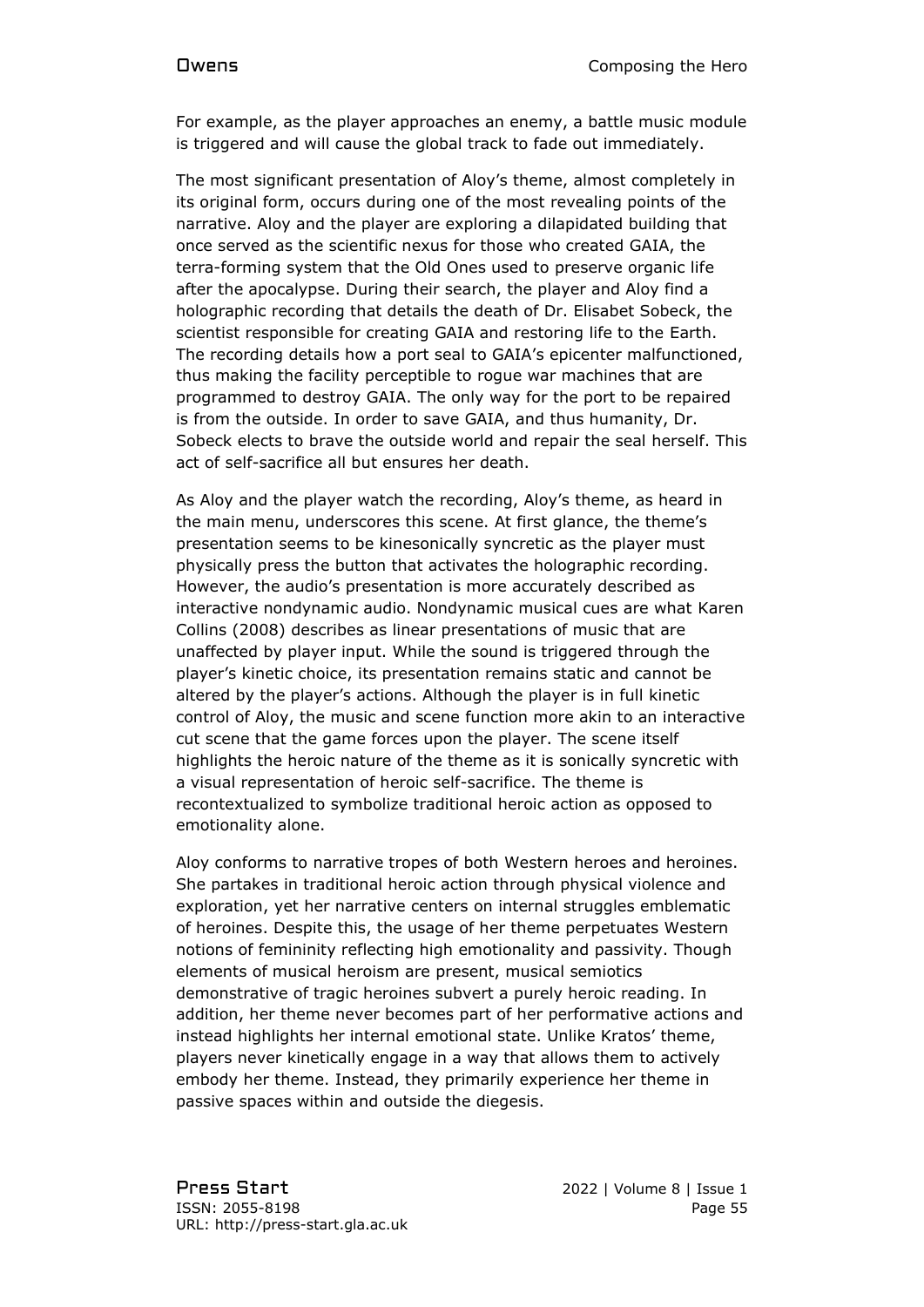For example, as the player approaches an enemy, a battle music module is triggered and will cause the global track to fade out immediately.

The most significant presentation of Aloy's theme, almost completely in its original form, occurs during one of the most revealing points of the narrative. Aloy and the player are exploring a dilapidated building that once served as the scientific nexus for those who created GAIA, the terra-forming system that the Old Ones used to preserve organic life after the apocalypse. During their search, the player and Aloy find a holographic recording that details the death of Dr. Elisabet Sobeck, the scientist responsible for creating GAIA and restoring life to the Earth. The recording details how a port seal to GAIA's epicenter malfunctioned, thus making the facility perceptible to rogue war machines that are programmed to destroy GAIA. The only way for the port to be repaired is from the outside. In order to save GAIA, and thus humanity, Dr. Sobeck elects to brave the outside world and repair the seal herself. This act of self-sacrifice all but ensures her death.

As Aloy and the player watch the recording, Aloy's theme, as heard in the main menu, underscores this scene. At first glance, the theme's presentation seems to be kinesonically syncretic as the player must physically press the button that activates the holographic recording. However, the audio's presentation is more accurately described as interactive nondynamic audio. Nondynamic musical cues are what Karen Collins (2008) describes as linear presentations of music that are unaffected by player input. While the sound is triggered through the player's kinetic choice, its presentation remains static and cannot be altered by the player's actions. Although the player is in full kinetic control of Aloy, the music and scene function more akin to an interactive cut scene that the game forces upon the player. The scene itself highlights the heroic nature of the theme as it is sonically syncretic with a visual representation of heroic self-sacrifice. The theme is recontextualized to symbolize traditional heroic action as opposed to emotionality alone.

Aloy conforms to narrative tropes of both Western heroes and heroines. She partakes in traditional heroic action through physical violence and exploration, yet her narrative centers on internal struggles emblematic of heroines. Despite this, the usage of her theme perpetuates Western notions of femininity reflecting high emotionality and passivity. Though elements of musical heroism are present, musical semiotics demonstrative of tragic heroines subvert a purely heroic reading. In addition, her theme never becomes part of her performative actions and instead highlights her internal emotional state. Unlike Kratos' theme, players never kinetically engage in a way that allows them to actively embody her theme. Instead, they primarily experience her theme in passive spaces within and outside the diegesis.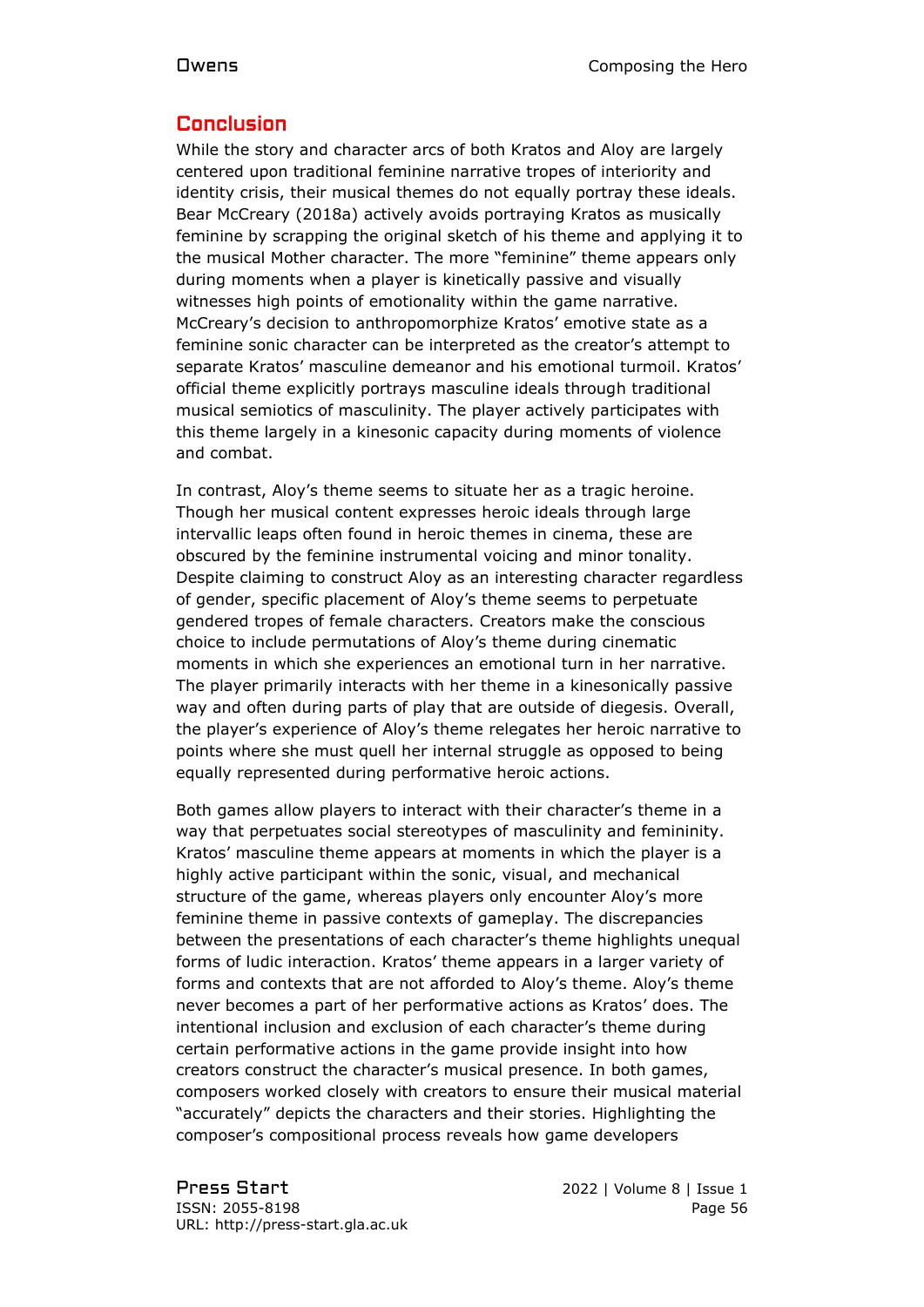### Conclusion

While the story and character arcs of both Kratos and Aloy are largely centered upon traditional feminine narrative tropes of interiority and identity crisis, their musical themes do not equally portray these ideals. Bear McCreary (2018a) actively avoids portraying Kratos as musically feminine by scrapping the original sketch of his theme and applying it to the musical Mother character. The more "feminine" theme appears only during moments when a player is kinetically passive and visually witnesses high points of emotionality within the game narrative. McCreary's decision to anthropomorphize Kratos' emotive state as a feminine sonic character can be interpreted as the creator's attempt to separate Kratos' masculine demeanor and his emotional turmoil. Kratos' official theme explicitly portrays masculine ideals through traditional musical semiotics of masculinity. The player actively participates with this theme largely in a kinesonic capacity during moments of violence and combat.

In contrast, Aloy's theme seems to situate her as a tragic heroine. Though her musical content expresses heroic ideals through large intervallic leaps often found in heroic themes in cinema, these are obscured by the feminine instrumental voicing and minor tonality. Despite claiming to construct Aloy as an interesting character regardless of gender, specific placement of Aloy's theme seems to perpetuate gendered tropes of female characters. Creators make the conscious choice to include permutations of Aloy's theme during cinematic moments in which she experiences an emotional turn in her narrative. The player primarily interacts with her theme in a kinesonically passive way and often during parts of play that are outside of diegesis. Overall, the player's experience of Aloy's theme relegates her heroic narrative to points where she must quell her internal struggle as opposed to being equally represented during performative heroic actions.

Both games allow players to interact with their character's theme in a way that perpetuates social stereotypes of masculinity and femininity. Kratos' masculine theme appears at moments in which the player is a highly active participant within the sonic, visual, and mechanical structure of the game, whereas players only encounter Aloy's more feminine theme in passive contexts of gameplay. The discrepancies between the presentations of each character's theme highlights unequal forms of ludic interaction. Kratos' theme appears in a larger variety of forms and contexts that are not afforded to Aloy's theme. Aloy's theme never becomes a part of her performative actions as Kratos' does. The intentional inclusion and exclusion of each character's theme during certain performative actions in the game provide insight into how creators construct the character's musical presence. In both games, composers worked closely with creators to ensure their musical material "accurately" depicts the characters and their stories. Highlighting the composer's compositional process reveals how game developers

Press Start 2022 | Volume 8 | Issue 1 ISSN: 2055-8198 Page 56 URL: http://press-start.gla.ac.uk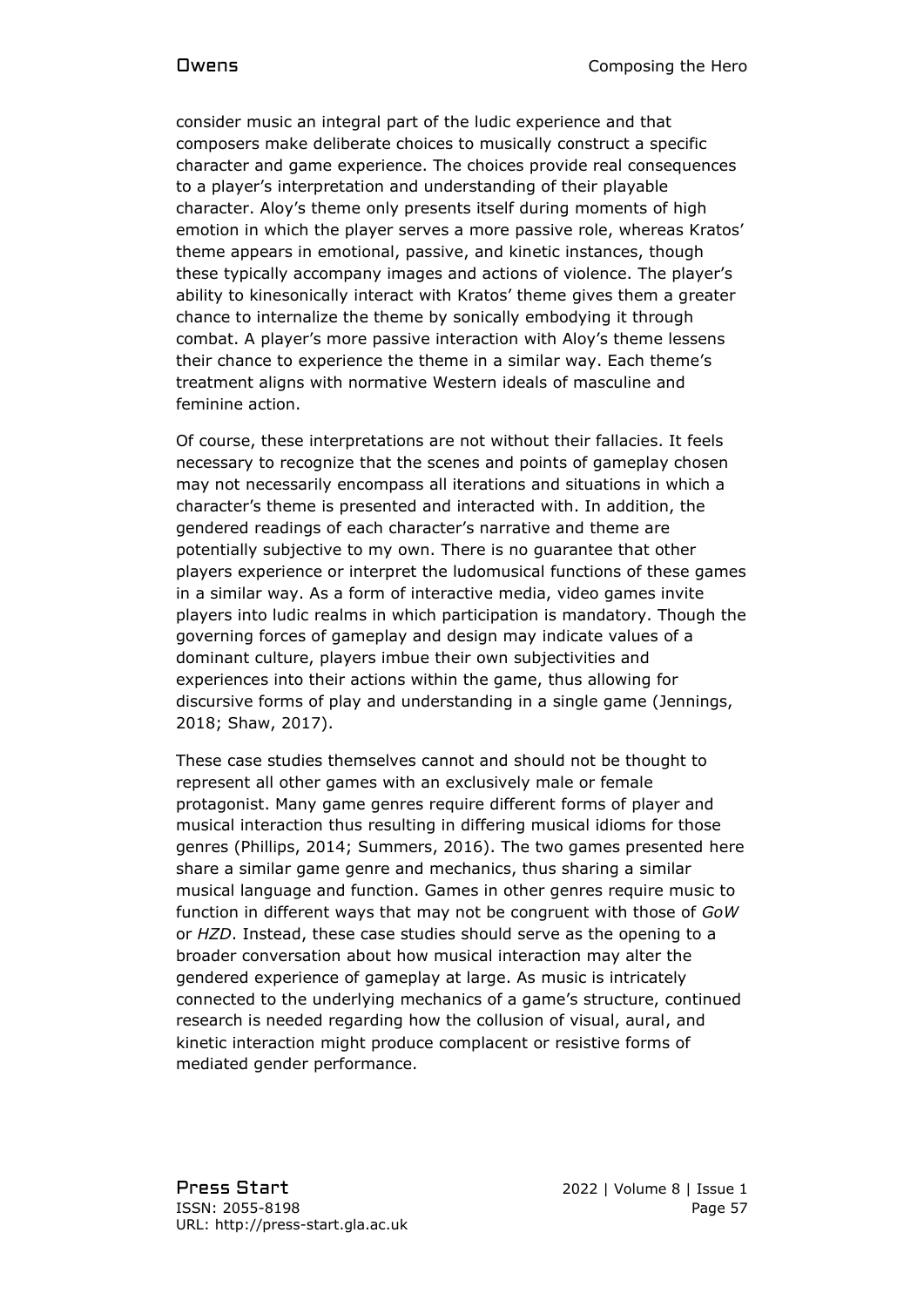consider music an integral part of the ludic experience and that composers make deliberate choices to musically construct a specific character and game experience. The choices provide real consequences to a player's interpretation and understanding of their playable character. Aloy's theme only presents itself during moments of high emotion in which the player serves a more passive role, whereas Kratos' theme appears in emotional, passive, and kinetic instances, though these typically accompany images and actions of violence. The player's ability to kinesonically interact with Kratos' theme gives them a greater chance to internalize the theme by sonically embodying it through combat. A player's more passive interaction with Aloy's theme lessens their chance to experience the theme in a similar way. Each theme's treatment aligns with normative Western ideals of masculine and feminine action.

Of course, these interpretations are not without their fallacies. It feels necessary to recognize that the scenes and points of gameplay chosen may not necessarily encompass all iterations and situations in which a character's theme is presented and interacted with. In addition, the gendered readings of each character's narrative and theme are potentially subjective to my own. There is no guarantee that other players experience or interpret the ludomusical functions of these games in a similar way. As a form of interactive media, video games invite players into ludic realms in which participation is mandatory. Though the governing forces of gameplay and design may indicate values of a dominant culture, players imbue their own subjectivities and experiences into their actions within the game, thus allowing for discursive forms of play and understanding in a single game (Jennings, 2018; Shaw, 2017).

These case studies themselves cannot and should not be thought to represent all other games with an exclusively male or female protagonist. Many game genres require different forms of player and musical interaction thus resulting in differing musical idioms for those genres (Phillips, 2014; Summers, 2016). The two games presented here share a similar game genre and mechanics, thus sharing a similar musical language and function. Games in other genres require music to function in different ways that may not be congruent with those of *GoW*  or *HZD*. Instead, these case studies should serve as the opening to a broader conversation about how musical interaction may alter the gendered experience of gameplay at large. As music is intricately connected to the underlying mechanics of a game's structure, continued research is needed regarding how the collusion of visual, aural, and kinetic interaction might produce complacent or resistive forms of mediated gender performance.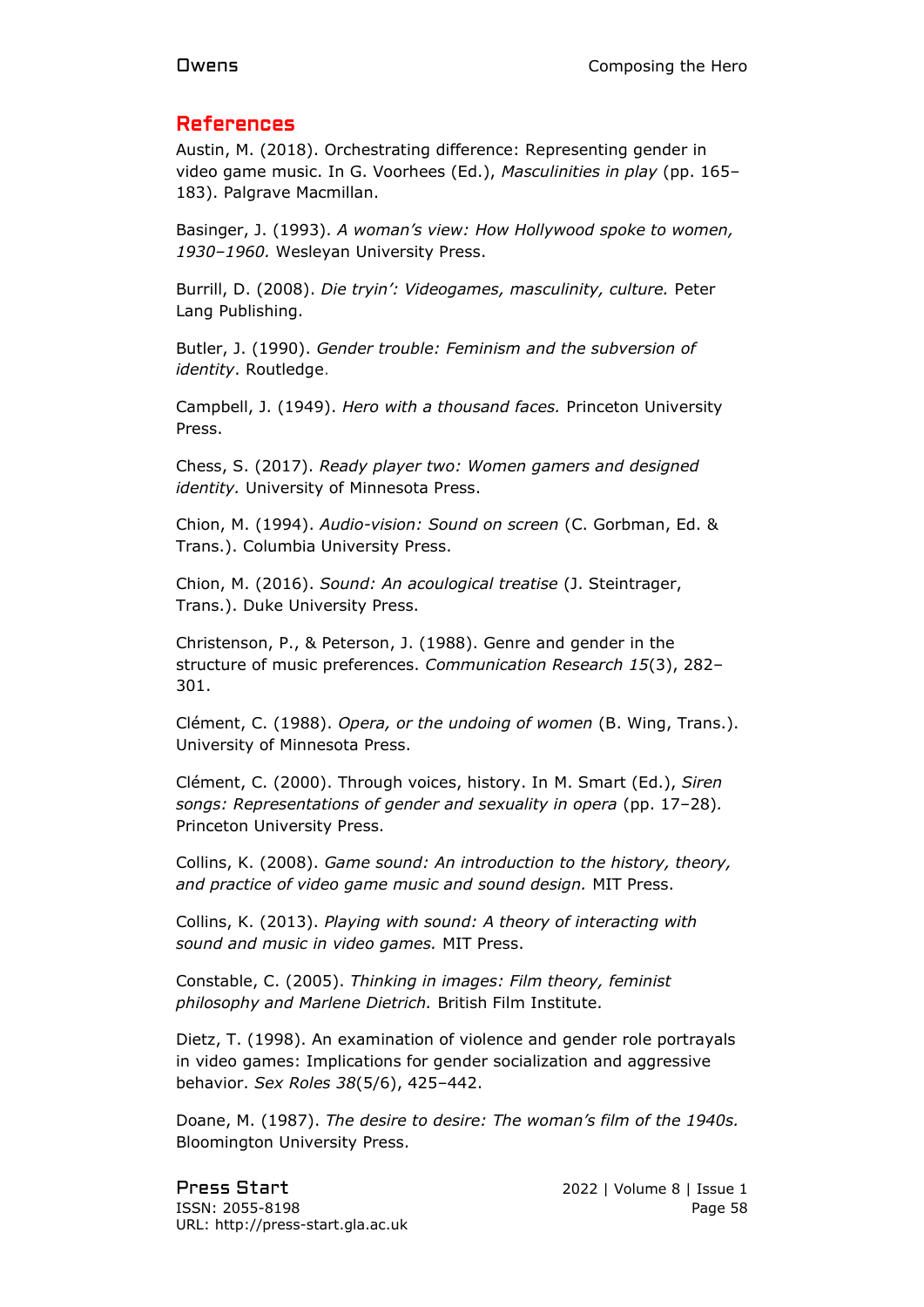### References

Austin, M. (2018). Orchestrating difference: Representing gender in video game music. In G. Voorhees (Ed.), *Masculinities in play* (pp. 165– 183). Palgrave Macmillan.

Basinger, J. (1993). *A woman's view: How Hollywood spoke to women, 1930–1960.* Wesleyan University Press.

Burrill, D. (2008). *Die tryin': Videogames, masculinity, culture.* Peter Lang Publishing.

Butler, J. (1990). *Gender trouble: Feminism and the subversion of identity*. Routledge.

Campbell, J. (1949). *Hero with a thousand faces.* Princeton University Press.

Chess, S. (2017). *Ready player two: Women gamers and designed identity.* University of Minnesota Press.

Chion, M. (1994). *Audio-vision: Sound on screen* (C. Gorbman, Ed. & Trans.). Columbia University Press.

Chion, M. (2016). *Sound: An acoulogical treatise* (J. Steintrager, Trans.). Duke University Press.

Christenson, P., & Peterson, J. (1988). Genre and gender in the structure of music preferences. *Communication Research 15*(3), 282– 301.

Clément, C. (1988). *Opera, or the undoing of women* (B. Wing, Trans.). University of Minnesota Press.

Clément, C. (2000). Through voices, history. In M. Smart (Ed.), *Siren songs: Representations of gender and sexuality in opera* (pp. 17–28)*.*  Princeton University Press.

Collins, K. (2008). *Game sound: An introduction to the history, theory, and practice of video game music and sound design.* MIT Press.

Collins, K. (2013). *Playing with sound: A theory of interacting with sound and music in video games.* MIT Press.

Constable, C. (2005). *Thinking in images: Film theory, feminist philosophy and Marlene Dietrich.* British Film Institute.

Dietz, T. (1998). An examination of violence and gender role portrayals in video games: Implications for gender socialization and aggressive behavior. *Sex Roles 38*(5/6), 425–442.

Doane, M. (1987). *The desire to desire: The woman's film of the 1940s.*  Bloomington University Press.

Press Start 2022 | Volume 8 | Issue 1 ISSN: 2055-8198 Page 58 URL: http://press-start.gla.ac.uk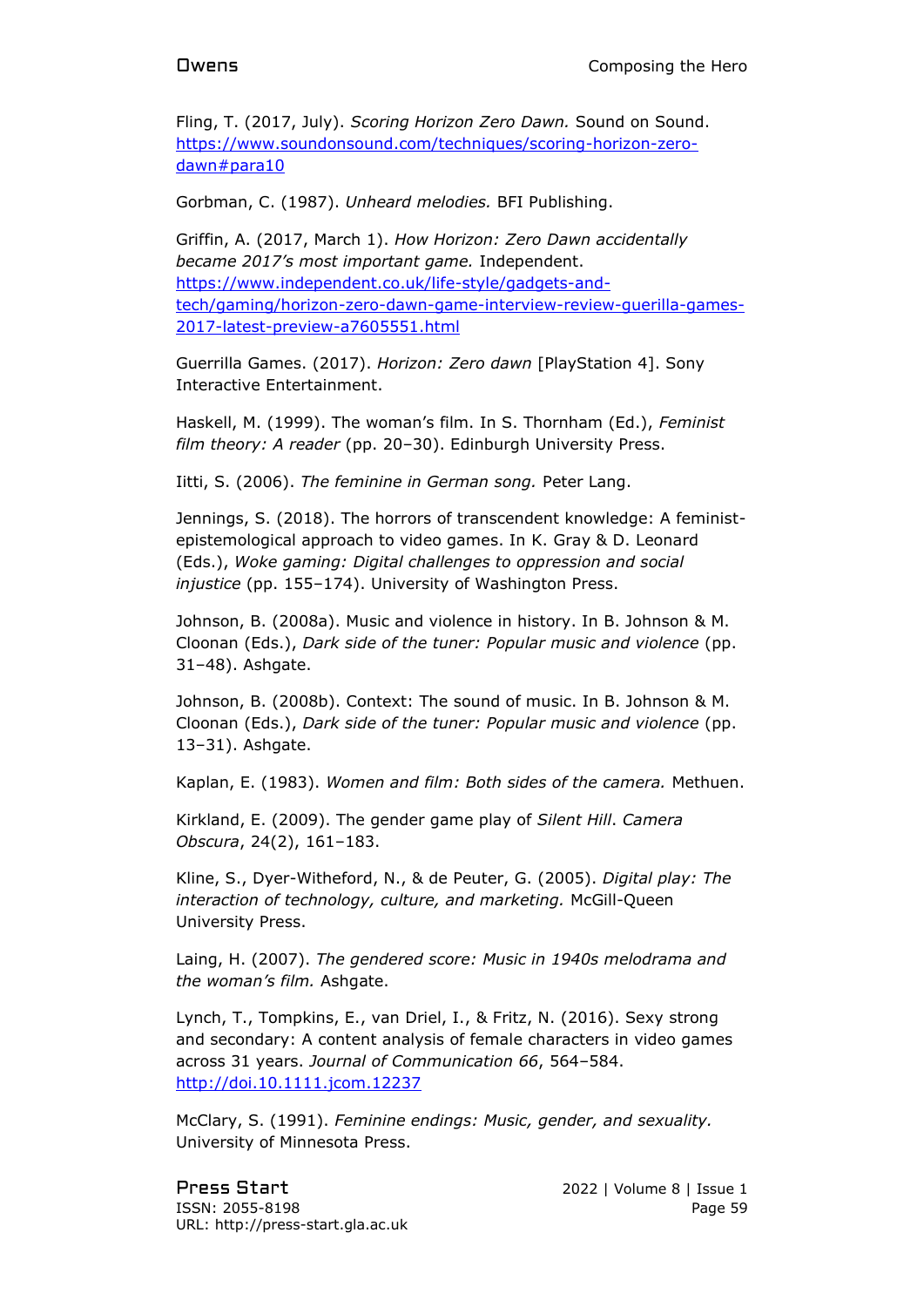Fling, T. (2017, July). *Scoring Horizon Zero Dawn.* Sound on Sound. [https://www.soundonsound.com/techniques/scoring-horizon-zero](https://www.soundonsound.com/techniques/scoring-horizon-zero-dawn#para10)[dawn#para10](https://www.soundonsound.com/techniques/scoring-horizon-zero-dawn#para10)

Gorbman, C. (1987). *Unheard melodies.* BFI Publishing.

Griffin, A. (2017, March 1). *How Horizon: Zero Dawn accidentally became 2017's most important game.* Independent. [https://www.independent.co.uk/life-style/gadgets-and](https://www.independent.co.uk/life-style/gadgets-and-tech/gaming/horizon-zero-dawn-game-interview-review-guerilla-games-2017-latest-preview-a7605551.html)[tech/gaming/horizon-zero-dawn-game-interview-review-guerilla-games-](https://www.independent.co.uk/life-style/gadgets-and-tech/gaming/horizon-zero-dawn-game-interview-review-guerilla-games-2017-latest-preview-a7605551.html)[2017-latest-preview-a7605551.html](https://www.independent.co.uk/life-style/gadgets-and-tech/gaming/horizon-zero-dawn-game-interview-review-guerilla-games-2017-latest-preview-a7605551.html)

Guerrilla Games. (2017). *Horizon: Zero dawn* [PlayStation 4]. Sony Interactive Entertainment.

Haskell, M. (1999). The woman's film. In S. Thornham (Ed.), *Feminist film theory: A reader* (pp. 20–30). Edinburgh University Press.

Iitti, S. (2006). *The feminine in German song.* Peter Lang.

Jennings, S. (2018). The horrors of transcendent knowledge: A feministepistemological approach to video games. In K. Gray & D. Leonard (Eds.), *Woke gaming: Digital challenges to oppression and social injustice* (pp. 155–174). University of Washington Press.

Johnson, B. (2008a). Music and violence in history. In B. Johnson & M. Cloonan (Eds.), *Dark side of the tuner: Popular music and violence* (pp. 31–48). Ashgate.

Johnson, B. (2008b). Context: The sound of music. In B. Johnson & M. Cloonan (Eds.), *Dark side of the tuner: Popular music and violence* (pp. 13–31). Ashgate.

Kaplan, E. (1983). *Women and film: Both sides of the camera.* Methuen.

Kirkland, E. (2009). The gender game play of *Silent Hill*. *Camera Obscura*, 24(2), 161–183.

Kline, S., Dyer-Witheford, N., & de Peuter, G. (2005). *Digital play: The interaction of technology, culture, and marketing.* McGill-Queen University Press.

Laing, H. (2007). *The gendered score: Music in 1940s melodrama and the woman's film.* Ashgate.

Lynch, T., Tompkins, E., van Driel, I., & Fritz, N. (2016). Sexy strong and secondary: A content analysis of female characters in video games across 31 years. *Journal of Communication 66*, 564–584. [http://doi.10.1111.jcom.12237](http://doi.10.1111.jcom.12237/)

McClary, S. (1991). *Feminine endings: Music, gender, and sexuality.*  University of Minnesota Press.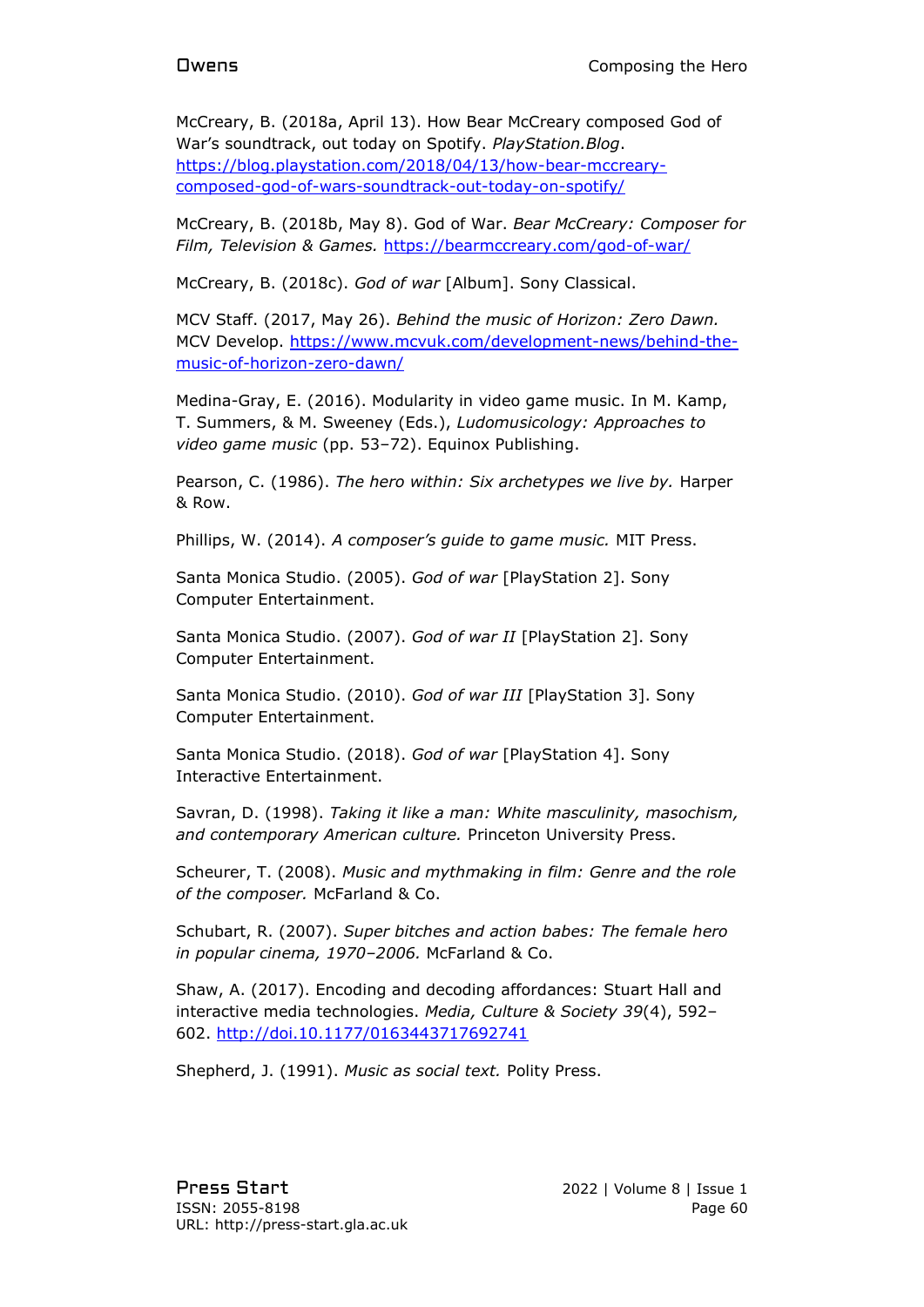McCreary, B. (2018a, April 13). How Bear McCreary composed God of War's soundtrack, out today on Spotify. *PlayStation.Blog*. [https://blog.playstation.com/2018/04/13/how-bear-mccreary](https://blog.playstation.com/2018/04/13/how-bear-mccreary-composed-god-of-wars-soundtrack-out-today-on-spotify/)[composed-god-of-wars-soundtrack-out-today-on-spotify/](https://blog.playstation.com/2018/04/13/how-bear-mccreary-composed-god-of-wars-soundtrack-out-today-on-spotify/)

McCreary, B. (2018b, May 8). God of War. *Bear McCreary: Composer for Film, Television & Games.* <https://bearmccreary.com/god-of-war/>

McCreary, B. (2018c). *God of war* [Album]. Sony Classical.

MCV Staff. (2017, May 26). *Behind the music of Horizon: Zero Dawn.*  MCV Develop. [https://www.mcvuk.com/development-news/behind-the](https://www.mcvuk.com/development-news/behind-the-music-of-horizon-zero-dawn/)[music-of-horizon-zero-dawn/](https://www.mcvuk.com/development-news/behind-the-music-of-horizon-zero-dawn/)

Medina-Gray, E. (2016). Modularity in video game music. In M. Kamp, T. Summers, & M. Sweeney (Eds.), *Ludomusicology: Approaches to video game music* (pp. 53–72). Equinox Publishing.

Pearson, C. (1986). *The hero within: Six archetypes we live by.* Harper & Row.

Phillips, W. (2014). *A composer's guide to game music.* MIT Press.

Santa Monica Studio. (2005). *God of war* [PlayStation 2]. Sony Computer Entertainment.

Santa Monica Studio. (2007). *God of war II* [PlayStation 2]. Sony Computer Entertainment.

Santa Monica Studio. (2010). *God of war III* [PlayStation 3]. Sony Computer Entertainment.

Santa Monica Studio. (2018). *God of war* [PlayStation 4]. Sony Interactive Entertainment.

Savran, D. (1998). *Taking it like a man: White masculinity, masochism, and contemporary American culture.* Princeton University Press.

Scheurer, T. (2008). *Music and mythmaking in film: Genre and the role of the composer.* McFarland & Co.

Schubart, R. (2007). *Super bitches and action babes: The female hero in popular cinema, 1970–2006.* McFarland & Co.

Shaw, A. (2017). Encoding and decoding affordances: Stuart Hall and interactive media technologies. *Media, Culture & Society 39*(4), 592– 602.<http://doi.10.1177/0163443717692741>

Shepherd, J. (1991). *Music as social text.* Polity Press.